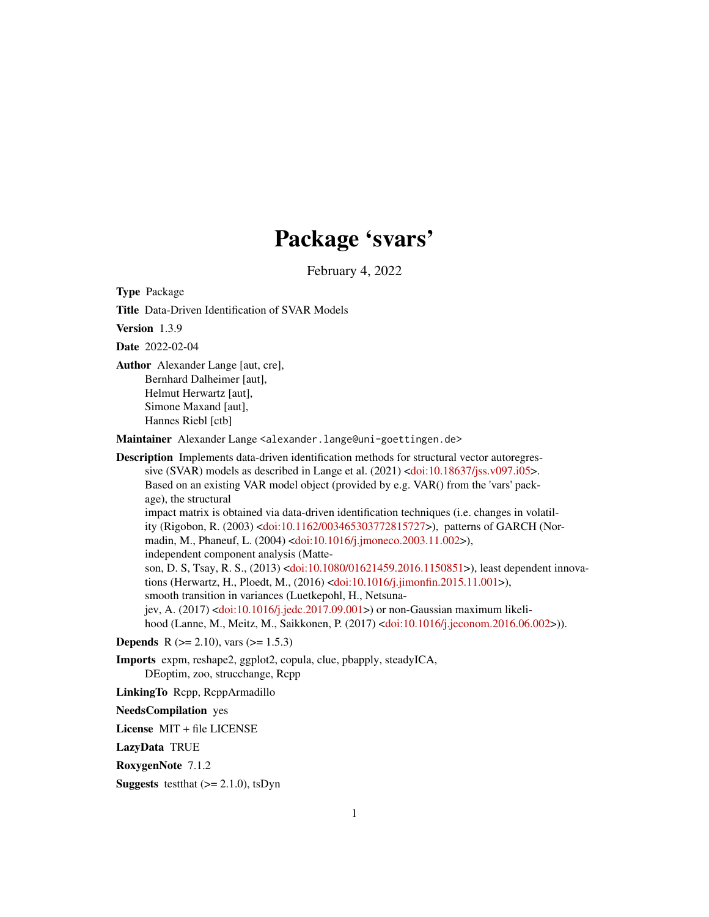# Package 'svars'

February 4, 2022

<span id="page-0-0"></span>Type Package

Title Data-Driven Identification of SVAR Models

Version 1.3.9

Date 2022-02-04

Author Alexander Lange [aut, cre], Bernhard Dalheimer [aut], Helmut Herwartz [aut], Simone Maxand [aut], Hannes Riebl [ctb]

Maintainer Alexander Lange <alexander.lange@uni-goettingen.de>

Description Implements data-driven identification methods for structural vector autoregressive (SVAR) models as described in Lange et al. (2021) [<doi:10.18637/jss.v097.i05>](https://doi.org/10.18637/jss.v097.i05). Based on an existing VAR model object (provided by e.g. VAR() from the 'vars' package), the structural impact matrix is obtained via data-driven identification techniques (i.e. changes in volatility (Rigobon, R. (2003) [<doi:10.1162/003465303772815727>](https://doi.org/10.1162/003465303772815727)), patterns of GARCH (Normadin, M., Phaneuf, L. (2004) [<doi:10.1016/j.jmoneco.2003.11.002>](https://doi.org/10.1016/j.jmoneco.2003.11.002)), independent component analysis (Matte-son, D. S, Tsay, R. S., (2013) [<doi:10.1080/01621459.2016.1150851>](https://doi.org/10.1080/01621459.2016.1150851)), least dependent innovations (Herwartz, H., Ploedt, M., (2016) [<doi:10.1016/j.jimonfin.2015.11.001>](https://doi.org/10.1016/j.jimonfin.2015.11.001)), smooth transition in variances (Luetkepohl, H., Netsunajev, A. (2017) [<doi:10.1016/j.jedc.2017.09.001>](https://doi.org/10.1016/j.jedc.2017.09.001)) or non-Gaussian maximum likeli-hood (Lanne, M., Meitz, M., Saikkonen, P. (2017) [<doi:10.1016/j.jeconom.2016.06.002>](https://doi.org/10.1016/j.jeconom.2016.06.002))).

**Depends** R ( $>= 2.10$ ), vars ( $>= 1.5.3$ )

Imports expm, reshape2, ggplot2, copula, clue, pbapply, steadyICA, DEoptim, zoo, strucchange, Rcpp

LinkingTo Rcpp, RcppArmadillo

NeedsCompilation yes

License MIT + file LICENSE

LazyData TRUE

RoxygenNote 7.1.2

**Suggests** test that  $(>= 2.1.0)$ , tsDyn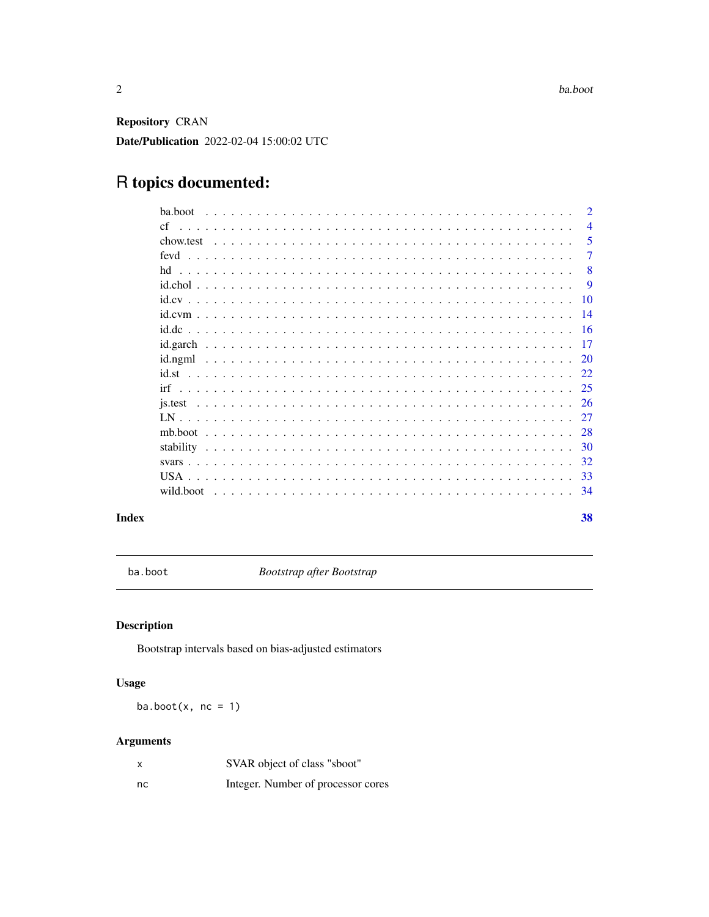38

<span id="page-1-0"></span>**Repository CRAN** Date/Publication 2022-02-04 15:00:02 UTC

# R topics documented:

| ba.boot                                                                                                                    | $\mathfrak{D}$ |
|----------------------------------------------------------------------------------------------------------------------------|----------------|
| cf                                                                                                                         | $\overline{4}$ |
| chow.test                                                                                                                  | 5              |
| fevd                                                                                                                       | 7              |
| hd<br><u>. A provincia de la caractería de la caractería de la caractería de la caractería de la caractería de la cara</u> | 8              |
|                                                                                                                            | 9              |
|                                                                                                                            | 10             |
|                                                                                                                            | 14             |
|                                                                                                                            | 16             |
| id.garch                                                                                                                   | 17             |
| id.ngml                                                                                                                    | 20             |
|                                                                                                                            | 22             |
|                                                                                                                            | 25             |
| is.test                                                                                                                    | 26             |
|                                                                                                                            | 27             |
| mh.hoot                                                                                                                    | 28             |
| stability                                                                                                                  | 30             |
|                                                                                                                            | 32             |
| $USA$ .                                                                                                                    | 33             |
| wild boot                                                                                                                  | 34             |
|                                                                                                                            |                |

# **Index**

ba.boot

Bootstrap after Bootstrap

# **Description**

Bootstrap intervals based on bias-adjusted estimators

# **Usage**

 $ba.boot(x, nc = 1)$ 

# **Arguments**

| $\boldsymbol{\mathsf{x}}$ | SVAR object of class "sboot"       |
|---------------------------|------------------------------------|
| nc                        | Integer. Number of processor cores |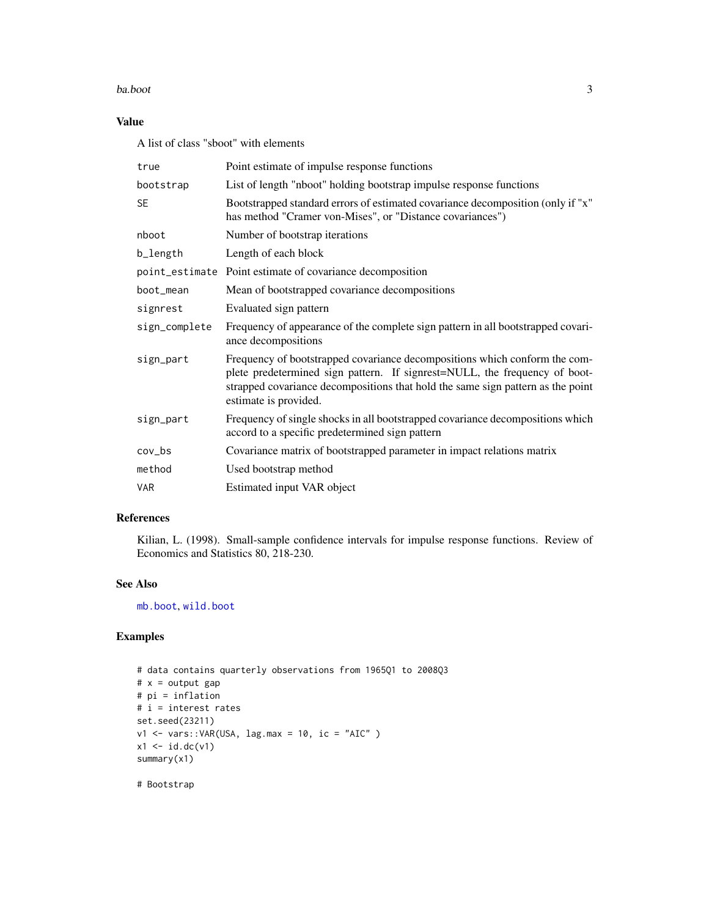#### <span id="page-2-0"></span>ba.boot 3

# Value

A list of class "sboot" with elements

| true          | Point estimate of impulse response functions                                                                                                                                                                                                                         |
|---------------|----------------------------------------------------------------------------------------------------------------------------------------------------------------------------------------------------------------------------------------------------------------------|
| bootstrap     | List of length "nboot" holding bootstrap impulse response functions                                                                                                                                                                                                  |
| <b>SE</b>     | Bootstrapped standard errors of estimated covariance decomposition (only if "x"<br>has method "Cramer von-Mises", or "Distance covariances")                                                                                                                         |
| nboot         | Number of bootstrap iterations                                                                                                                                                                                                                                       |
| b_length      | Length of each block                                                                                                                                                                                                                                                 |
|               | point_estimate Point estimate of covariance decomposition                                                                                                                                                                                                            |
| boot mean     | Mean of bootstrapped covariance decompositions                                                                                                                                                                                                                       |
| signrest      | Evaluated sign pattern                                                                                                                                                                                                                                               |
| sign_complete | Frequency of appearance of the complete sign pattern in all bootstrapped covari-<br>ance decompositions                                                                                                                                                              |
| sign_part     | Frequency of bootstrapped covariance decompositions which conform the com-<br>plete predetermined sign pattern. If signrest=NULL, the frequency of boot-<br>strapped covariance decompositions that hold the same sign pattern as the point<br>estimate is provided. |
| sign_part     | Frequency of single shocks in all bootstrapped covariance decompositions which<br>accord to a specific predetermined sign pattern                                                                                                                                    |
| cov_bs        | Covariance matrix of bootstrapped parameter in impact relations matrix                                                                                                                                                                                               |
| method        | Used bootstrap method                                                                                                                                                                                                                                                |
| <b>VAR</b>    | Estimated input VAR object                                                                                                                                                                                                                                           |

# References

Kilian, L. (1998). Small-sample confidence intervals for impulse response functions. Review of Economics and Statistics 80, 218-230.

# See Also

[mb.boot](#page-27-1), [wild.boot](#page-33-1)

# Examples

```
# data contains quarterly observations from 1965Q1 to 2008Q3
# x = output gap
# pi = inflation
# i = interest rates
set.seed(23211)
v1 <- vars::VAR(USA, lag.max = 10, ic = "AIC" )
x1 \leftarrow id.dc(v1)summary(x1)
```
# Bootstrap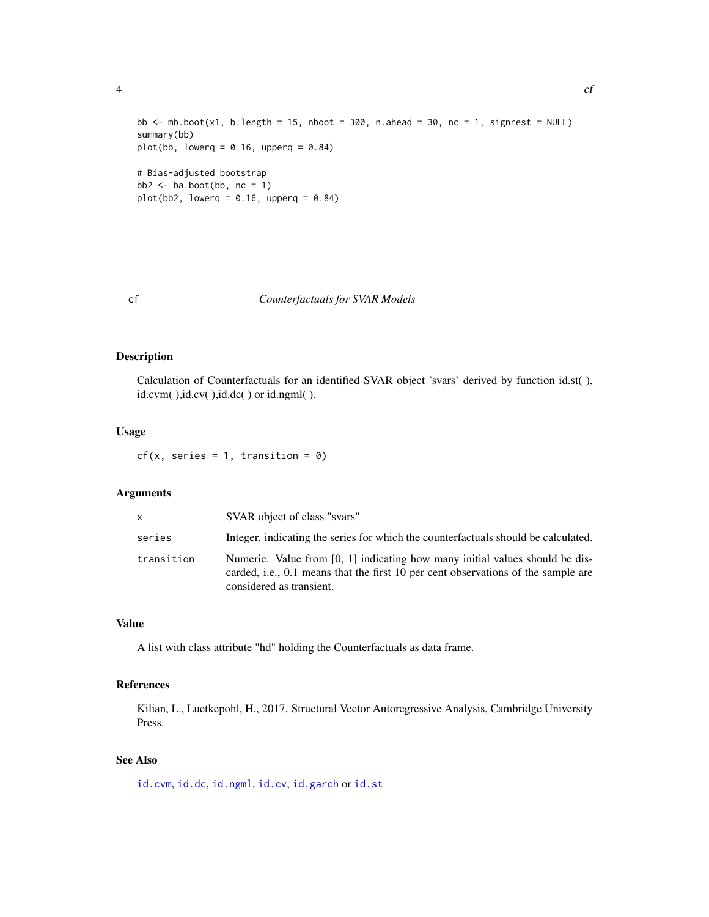```
bb \le mb.boot(x1, b.length = 15, nboot = 300, n.ahead = 30, nc = 1, signrest = NULL)
summary(bb)
plot(bb, lowerq = 0.16, upperq = 0.84)
# Bias-adjusted bootstrap
bb2 \leftarrow ba.boot(bb, nc = 1)plot(bb2, lowerq = 0.16, upperq = 0.84)
```
# cf *Counterfactuals for SVAR Models*

# Description

Calculation of Counterfactuals for an identified SVAR object 'svars' derived by function id.st( ), id.cvm( ),id.cv( ),id.dc( ) or id.ngml( ).

## Usage

 $cf(x, series = 1, transition = 0)$ 

# Arguments

| x          | SVAR object of class "svars"                                                                                                                                                                    |
|------------|-------------------------------------------------------------------------------------------------------------------------------------------------------------------------------------------------|
| series     | Integer, indicating the series for which the counterfactuals should be calculated.                                                                                                              |
| transition | Numeric. Value from $[0, 1]$ indicating how many initial values should be dis-<br>carded, i.e., 0.1 means that the first 10 per cent observations of the sample are<br>considered as transient. |

# Value

A list with class attribute "hd" holding the Counterfactuals as data frame.

#### References

Kilian, L., Luetkepohl, H., 2017. Structural Vector Autoregressive Analysis, Cambridge University Press.

# See Also

[id.cvm](#page-13-1), [id.dc](#page-15-1), [id.ngml](#page-19-1), [id.cv](#page-9-1), [id.garch](#page-16-1) or [id.st](#page-21-1)

<span id="page-3-0"></span>4 cf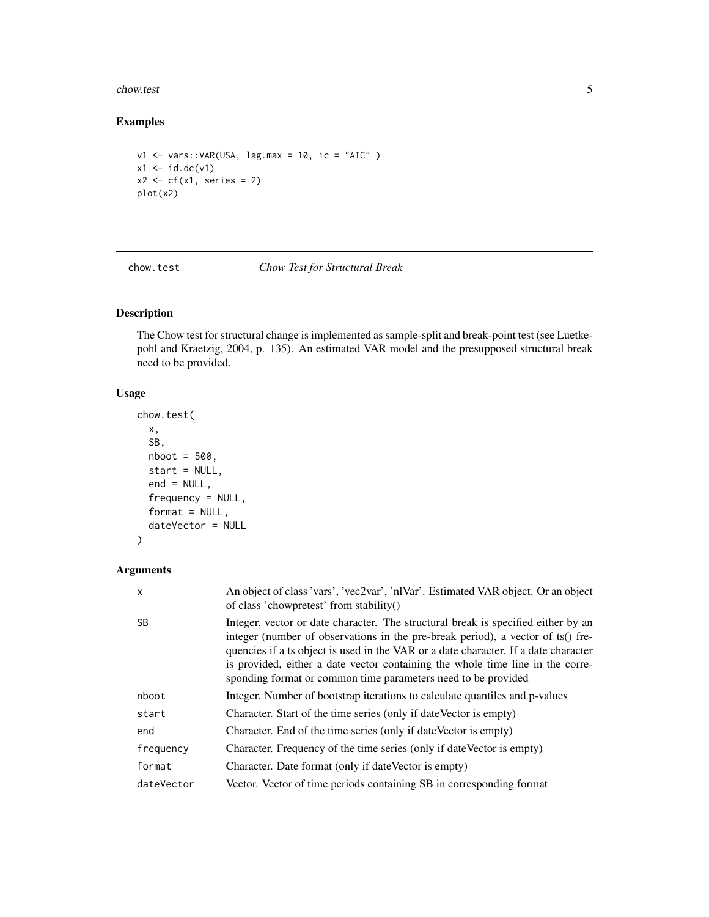#### <span id="page-4-0"></span>chow.test 5

# Examples

```
v1 \le -\text{vars}: VAR(USA, lag.max = 10, ic = "AIC")x1 \leftarrow id.dc(v1)x2 \leftarrow cf(x1, series = 2)plot(x2)
```
<span id="page-4-1"></span>chow.test *Chow Test for Structural Break*

# Description

The Chow test for structural change is implemented as sample-split and break-point test (see Luetkepohl and Kraetzig, 2004, p. 135). An estimated VAR model and the presupposed structural break need to be provided.

# Usage

```
chow.test(
 x,
  SB,
 nboot = 500,start = NULL,
 end = NULL,frequency = NULL,
  format = NULL,dateVector = NULL
)
```
# Arguments

| X          | An object of class 'vars', 'vec2var', 'nlVar'. Estimated VAR object. Or an object<br>of class 'chowpretest' from stability()                                                                                                                                                                                                                                                                                   |
|------------|----------------------------------------------------------------------------------------------------------------------------------------------------------------------------------------------------------------------------------------------------------------------------------------------------------------------------------------------------------------------------------------------------------------|
| <b>SB</b>  | Integer, vector or date character. The structural break is specified either by an<br>integer (number of observations in the pre-break period), a vector of ts() fre-<br>quencies if a ts object is used in the VAR or a date character. If a date character<br>is provided, either a date vector containing the whole time line in the corre-<br>sponding format or common time parameters need to be provided |
| nboot      | Integer. Number of bootstrap iterations to calculate quantiles and p-values                                                                                                                                                                                                                                                                                                                                    |
| start      | Character. Start of the time series (only if dateVector is empty)                                                                                                                                                                                                                                                                                                                                              |
| end        | Character. End of the time series (only if date Vector is empty)                                                                                                                                                                                                                                                                                                                                               |
| frequency  | Character. Frequency of the time series (only if date Vector is empty)                                                                                                                                                                                                                                                                                                                                         |
| format     | Character. Date format (only if date Vector is empty)                                                                                                                                                                                                                                                                                                                                                          |
| dateVector | Vector. Vector of time periods containing SB in corresponding format                                                                                                                                                                                                                                                                                                                                           |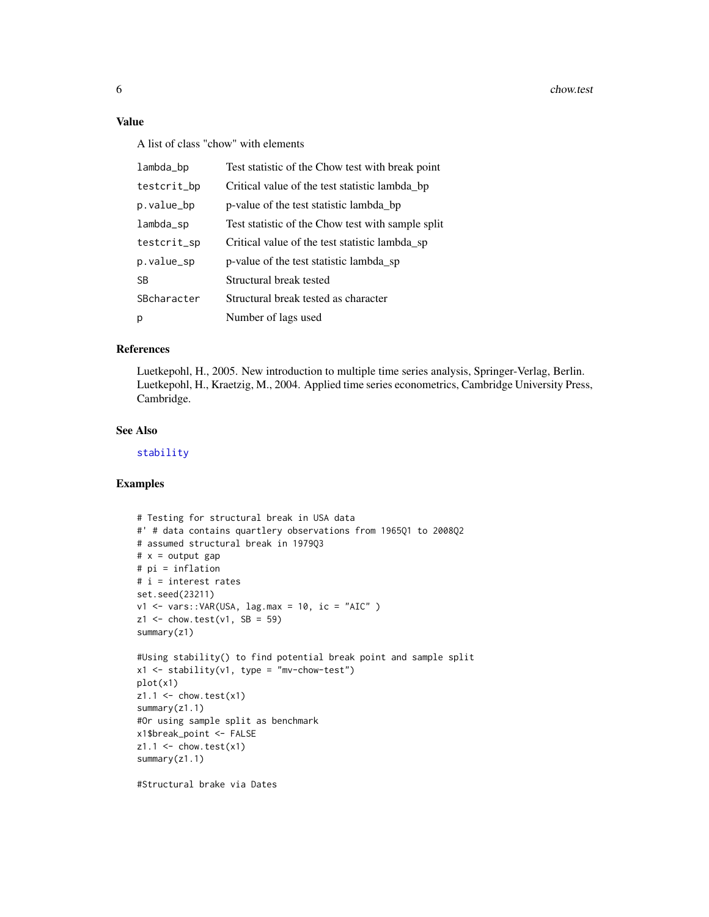# <span id="page-5-0"></span>Value

A list of class "chow" with elements

| lambda_bp   | Test statistic of the Chow test with break point  |
|-------------|---------------------------------------------------|
| testcrit_bp | Critical value of the test statistic lambda_bp    |
| p.value_bp  | p-value of the test statistic lambda_bp           |
| lambda_sp   | Test statistic of the Chow test with sample split |
| testcrit_sp | Critical value of the test statistic lambda sp    |
| p.value_sp  | p-value of the test statistic lambda sp           |
| <b>SB</b>   | Structural break tested                           |
| SBcharacter | Structural break tested as character              |
| р           | Number of lags used                               |

#### References

Luetkepohl, H., 2005. New introduction to multiple time series analysis, Springer-Verlag, Berlin. Luetkepohl, H., Kraetzig, M., 2004. Applied time series econometrics, Cambridge University Press, Cambridge.

#### See Also

[stability](#page-29-1)

# Examples

```
# Testing for structural break in USA data
#' # data contains quartlery observations from 1965Q1 to 2008Q2
# assumed structural break in 1979Q3
# x = output gap# pi = inflation
# i = interest rates
set.seed(23211)
v1 <- vars::VAR(USA, lag.max = 10, ic = "AIC" )
z1 \leftarrow chow.test(v1, SB = 59)
summary(z1)
#Using stability() to find potential break point and sample split
x1 \leftarrow \text{stability}(v1, \text{ type} = \text{"mv-chow-test"})plot(x1)
z1.1 \leftarrow chow.test(x1)
summary(z1.1)
#Or using sample split as benchmark
x1$break_point <- FALSE
z1.1 \leftarrow chow.test(x1)
summary(z1.1)
```
#Structural brake via Dates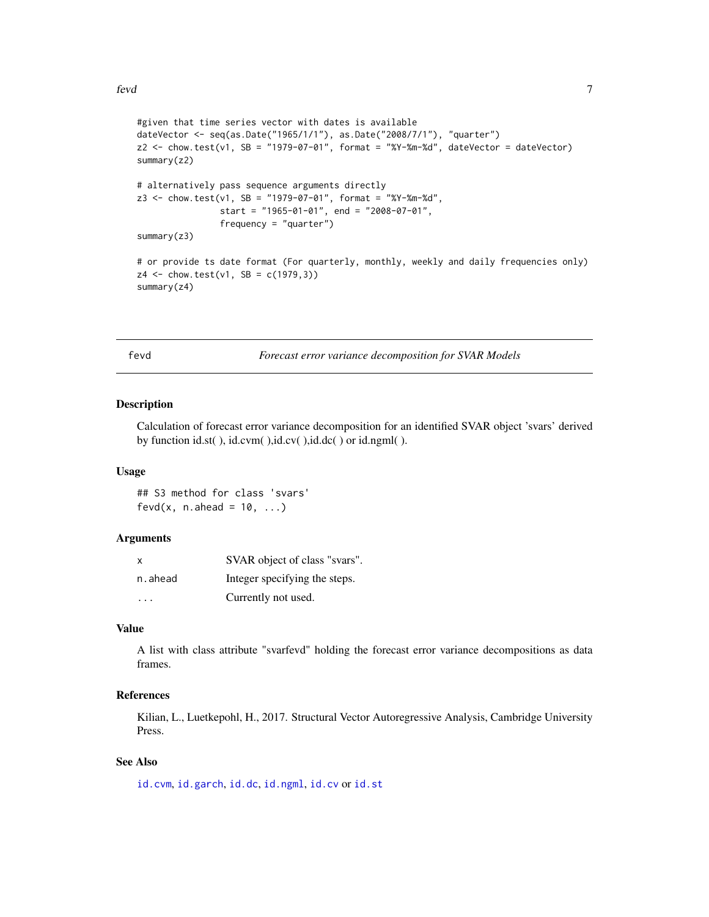```
#given that time series vector with dates is available
dateVector <- seq(as.Date("1965/1/1"), as.Date("2008/7/1"), "quarter")
z2 <- chow.test(v1, SB = "1979-07-01", format = "%Y-%m-%d", dateVector = dateVector)
summary(z2)
# alternatively pass sequence arguments directly
z3 <- chow.test(v1, SB = "1979-07-01", format = "%Y-%m-%d",
                start = "1965-01-01", end = "2008-07-01",
                frequency = "quarter")
summary(z3)
# or provide ts date format (For quarterly, monthly, weekly and daily frequencies only)
z4 \le - chow.test(v1, SB = c(1979,3))
summary(z4)
```
fevd *Forecast error variance decomposition for SVAR Models*

#### Description

Calculation of forecast error variance decomposition for an identified SVAR object 'svars' derived by function id.st( ), id.cvm( ),id.cv( ),id.dc( ) or id.ngml( ).

# Usage

## S3 method for class 'svars' fevd(x,  $n$ .ahead = 10,  $\dots$ )

#### Arguments

| X       | SVAR object of class "svars". |
|---------|-------------------------------|
| n.ahead | Integer specifying the steps. |
| .       | Currently not used.           |

#### Value

A list with class attribute "svarfevd" holding the forecast error variance decompositions as data frames.

# References

Kilian, L., Luetkepohl, H., 2017. Structural Vector Autoregressive Analysis, Cambridge University Press.

# See Also

[id.cvm](#page-13-1), [id.garch](#page-16-1), [id.dc](#page-15-1), [id.ngml](#page-19-1), [id.cv](#page-9-1) or [id.st](#page-21-1)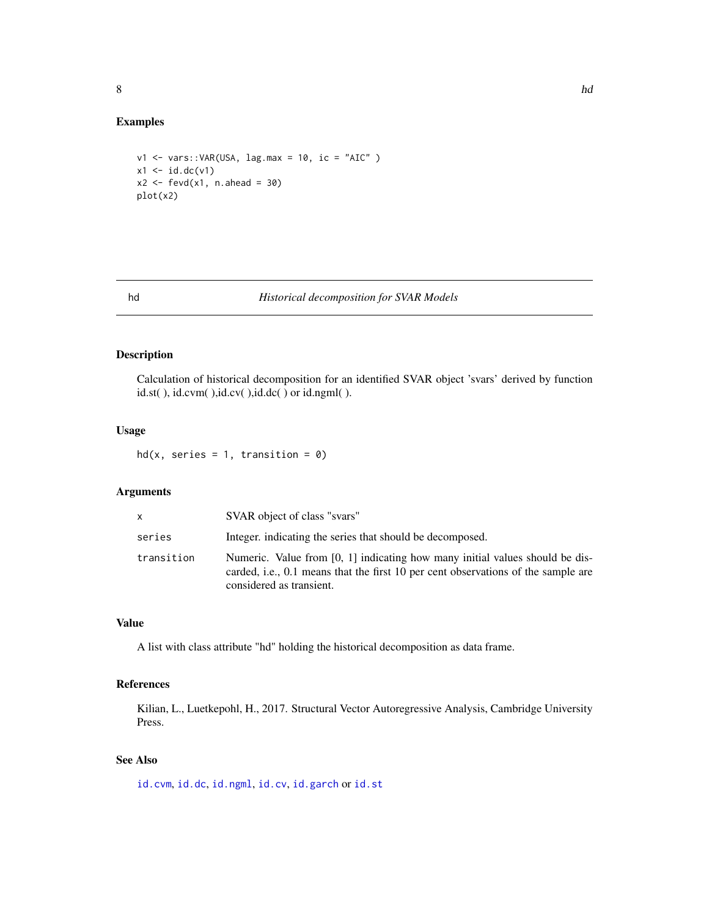# <span id="page-7-0"></span>Examples

```
v1 \le -\text{vars}: VAR(USA, lag.max = 10, ic = "AIC")x1 \leftarrow id.dc(v1)x2 \le fevd(x1, n.ahead = 30)
plot(x2)
```
# hd *Historical decomposition for SVAR Models*

# Description

Calculation of historical decomposition for an identified SVAR object 'svars' derived by function id.st( ), id.cvm( ),id.cv( ),id.dc( ) or id.ngml( ).

#### Usage

 $hd(x, series = 1, transition = 0)$ 

# Arguments

| X          | SVAR object of class "svars"                                                                                                                                                                    |
|------------|-------------------------------------------------------------------------------------------------------------------------------------------------------------------------------------------------|
| series     | Integer, indicating the series that should be decomposed.                                                                                                                                       |
| transition | Numeric. Value from $[0, 1]$ indicating how many initial values should be dis-<br>carded, i.e., 0.1 means that the first 10 per cent observations of the sample are<br>considered as transient. |

# Value

A list with class attribute "hd" holding the historical decomposition as data frame.

# References

Kilian, L., Luetkepohl, H., 2017. Structural Vector Autoregressive Analysis, Cambridge University Press.

# See Also

[id.cvm](#page-13-1), [id.dc](#page-15-1), [id.ngml](#page-19-1), [id.cv](#page-9-1), [id.garch](#page-16-1) or [id.st](#page-21-1)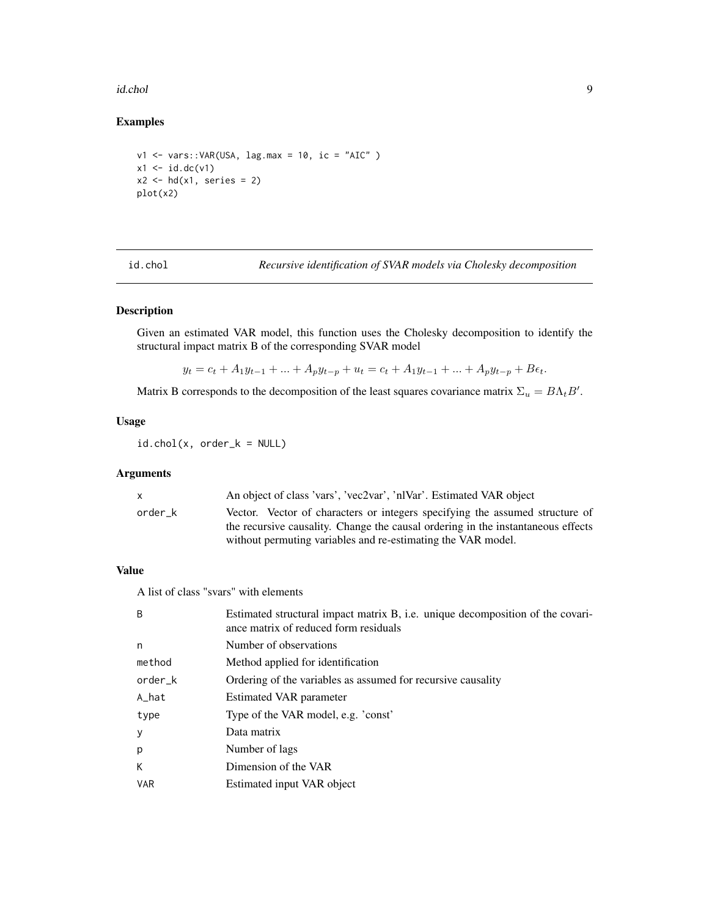#### <span id="page-8-0"></span>id.chol 99

# Examples

```
v1 \le -\text{vars}: VAR(USA, lag.max = 10, ic = "AIC")x1 \leftarrow id.dc(v1)x2 \leftarrow hd(x1, series = 2)plot(x2)
```

|  | id.chol |  |
|--|---------|--|
|  |         |  |

id.chol *Recursive identification of SVAR models via Cholesky decomposition*

# Description

Given an estimated VAR model, this function uses the Cholesky decomposition to identify the structural impact matrix B of the corresponding SVAR model

 $y_t = c_t + A_1y_{t-1} + ... + A_py_{t-p} + u_t = c_t + A_1y_{t-1} + ... + A_py_{t-p} + B\epsilon_t.$ 

Matrix B corresponds to the decomposition of the least squares covariance matrix  $\Sigma_u = B\Lambda_t B'$ .

# Usage

 $id.chol(x, order_k = NULL)$ 

# Arguments

| $\mathsf{x}$ | An object of class 'vars', 'vec2var', 'nIVar'. Estimated VAR object              |
|--------------|----------------------------------------------------------------------------------|
| order k      | Vector. Vector of characters or integers specifying the assumed structure of     |
|              | the recursive causality. Change the causal ordering in the instantaneous effects |
|              | without permuting variables and re-estimating the VAR model.                     |

# Value

A list of class "svars" with elements

| <sub>B</sub> | Estimated structural impact matrix B, i.e. unique decomposition of the covari-<br>ance matrix of reduced form residuals |
|--------------|-------------------------------------------------------------------------------------------------------------------------|
| n            | Number of observations                                                                                                  |
| method       | Method applied for identification                                                                                       |
| order_k      | Ordering of the variables as assumed for recursive causality                                                            |
| A_hat        | <b>Estimated VAR</b> parameter                                                                                          |
| type         | Type of the VAR model, e.g. 'const'                                                                                     |
| y            | Data matrix                                                                                                             |
| p            | Number of lags                                                                                                          |
| К            | Dimension of the VAR                                                                                                    |
| <b>VAR</b>   | Estimated input VAR object                                                                                              |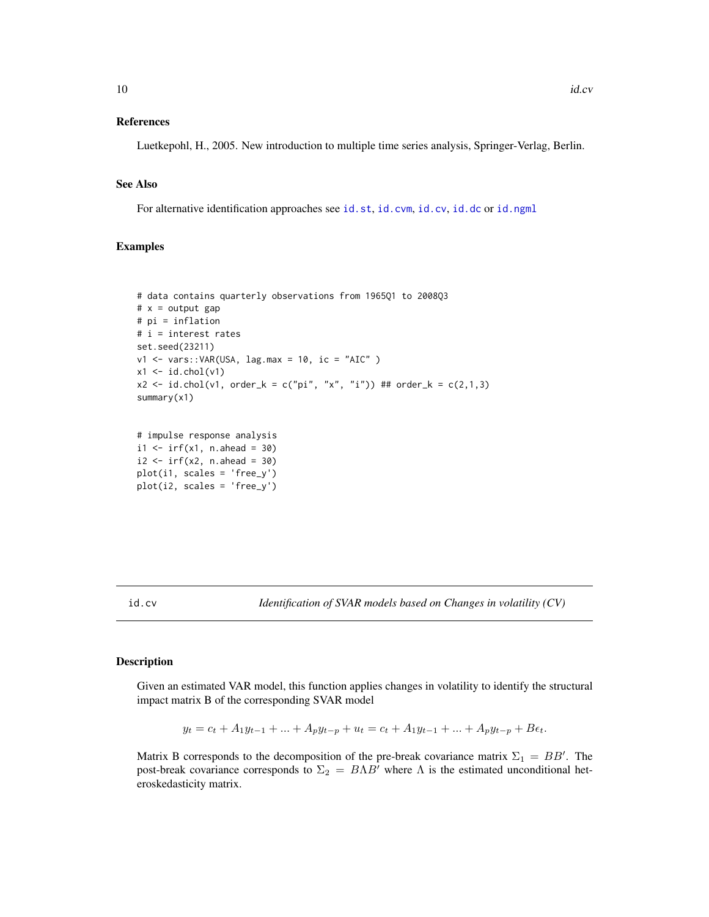## <span id="page-9-0"></span>References

Luetkepohl, H., 2005. New introduction to multiple time series analysis, Springer-Verlag, Berlin.

## See Also

For alternative identification approaches see [id.st](#page-21-1), [id.cvm](#page-13-1), [id.cv](#page-9-1), [id.dc](#page-15-1) or [id.ngml](#page-19-1)

#### Examples

```
# data contains quarterly observations from 1965Q1 to 2008Q3
# x = output gap# pi = inflation
# i = interest rates
set.seed(23211)
v1 \le -\text{vars}: VAR(USA, lag.max = 10, ic = "AIC")x1 \leftarrow id.chol(v1)x2 \le -id.chol(v1, order_k = c("pi", "x", "i")) # order_k = c(2,1,3)summary(x1)
```
# impulse response analysis  $i1 \leftarrow \inf(x1, n.\text{ ahead} = 30)$  $i2 \leftarrow \inf(x2, n.\text{ ahead} = 30)$  $plot(i1, scales = 'free_y')$ plot(i2, scales = 'free\_y')

<span id="page-9-1"></span>id.cv *Identification of SVAR models based on Changes in volatility (CV)*

#### Description

Given an estimated VAR model, this function applies changes in volatility to identify the structural impact matrix B of the corresponding SVAR model

$$
y_t = c_t + A_1 y_{t-1} + \dots + A_p y_{t-p} + u_t = c_t + A_1 y_{t-1} + \dots + A_p y_{t-p} + B \epsilon_t.
$$

Matrix B corresponds to the decomposition of the pre-break covariance matrix  $\Sigma_1 = BB'$ . The post-break covariance corresponds to  $\Sigma_2 = B\Lambda B'$  where  $\Lambda$  is the estimated unconditional heteroskedasticity matrix.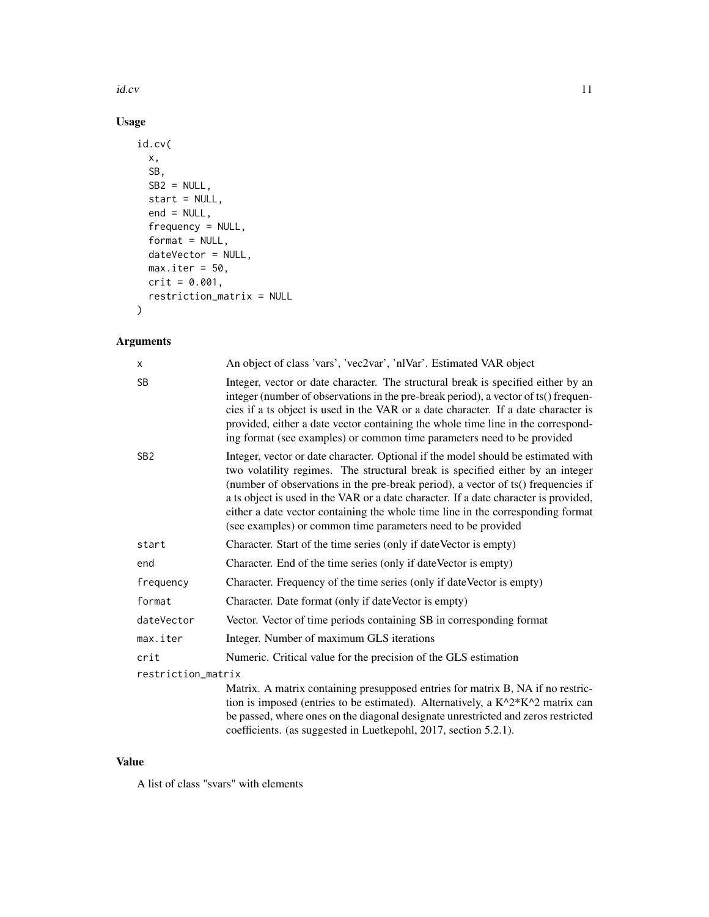$idcv$  11

# Usage

```
id.cv(
  x,
  SB,
  SB2 = NULL,start = NULL,
  end = NULL,frequency = NULL,
  format = NULL,dateVector = NULL,
  max.iter = 50,
  crit = 0.001,restriction_matrix = NULL
\mathcal{L}
```
# Arguments

| x                  | An object of class 'vars', 'vec2var', 'nlVar'. Estimated VAR object                                                                                                                                                                                                                                                                                                                                                                                                                                 |  |
|--------------------|-----------------------------------------------------------------------------------------------------------------------------------------------------------------------------------------------------------------------------------------------------------------------------------------------------------------------------------------------------------------------------------------------------------------------------------------------------------------------------------------------------|--|
| <b>SB</b>          | Integer, vector or date character. The structural break is specified either by an<br>integer (number of observations in the pre-break period), a vector of ts() frequen-<br>cies if a ts object is used in the VAR or a date character. If a date character is<br>provided, either a date vector containing the whole time line in the correspond-<br>ing format (see examples) or common time parameters need to be provided                                                                       |  |
| SB <sub>2</sub>    | Integer, vector or date character. Optional if the model should be estimated with<br>two volatility regimes. The structural break is specified either by an integer<br>(number of observations in the pre-break period), a vector of ts() frequencies if<br>a ts object is used in the VAR or a date character. If a date character is provided,<br>either a date vector containing the whole time line in the corresponding format<br>(see examples) or common time parameters need to be provided |  |
| start              | Character. Start of the time series (only if dateVector is empty)                                                                                                                                                                                                                                                                                                                                                                                                                                   |  |
| end                | Character. End of the time series (only if date Vector is empty)                                                                                                                                                                                                                                                                                                                                                                                                                                    |  |
| frequency          | Character. Frequency of the time series (only if dateVector is empty)                                                                                                                                                                                                                                                                                                                                                                                                                               |  |
| format             | Character. Date format (only if date Vector is empty)                                                                                                                                                                                                                                                                                                                                                                                                                                               |  |
| dateVector         | Vector. Vector of time periods containing SB in corresponding format                                                                                                                                                                                                                                                                                                                                                                                                                                |  |
| max.iter           | Integer. Number of maximum GLS iterations                                                                                                                                                                                                                                                                                                                                                                                                                                                           |  |
| crit               | Numeric. Critical value for the precision of the GLS estimation                                                                                                                                                                                                                                                                                                                                                                                                                                     |  |
| restriction_matrix |                                                                                                                                                                                                                                                                                                                                                                                                                                                                                                     |  |
|                    | Matrix. A matrix containing presupposed entries for matrix B, NA if no restric-<br>tion is imposed (entries to be estimated). Alternatively, a $K^2*K^2$ matrix can<br>be passed, where ones on the diagonal designate unrestricted and zeros restricted                                                                                                                                                                                                                                            |  |
|                    | coefficients. (as suggested in Luetkepohl, 2017, section 5.2.1).                                                                                                                                                                                                                                                                                                                                                                                                                                    |  |

# Value

A list of class "svars" with elements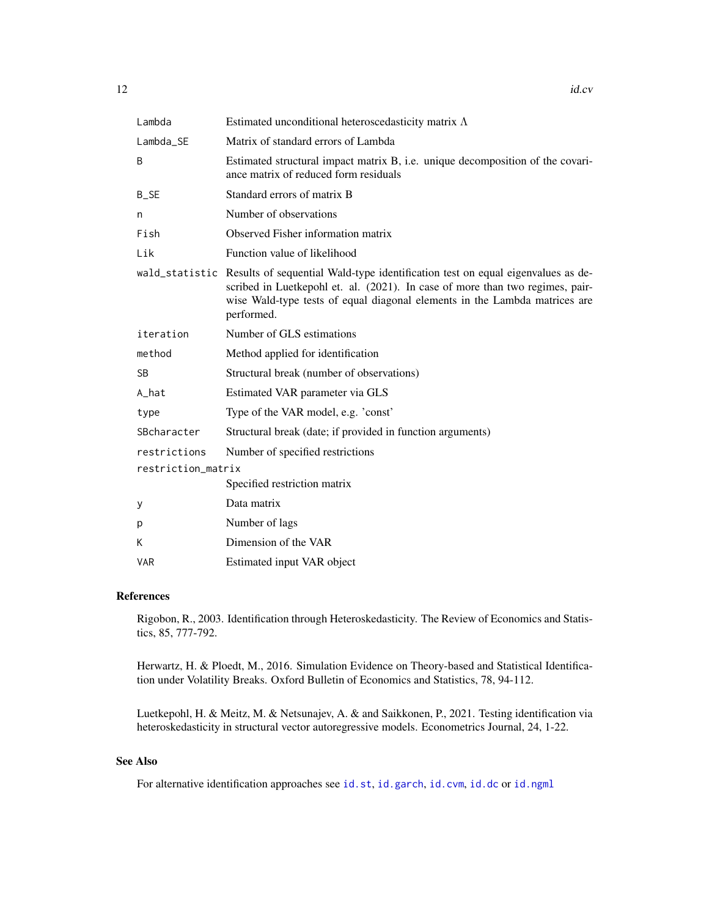<span id="page-11-0"></span>

|                    | Lambda       | Estimated unconditional heteroscedasticity matrix $\Lambda$                                                                                                                                                                                                                 |  |
|--------------------|--------------|-----------------------------------------------------------------------------------------------------------------------------------------------------------------------------------------------------------------------------------------------------------------------------|--|
|                    | Lambda_SE    | Matrix of standard errors of Lambda                                                                                                                                                                                                                                         |  |
|                    | B            | Estimated structural impact matrix B, i.e. unique decomposition of the covari-<br>ance matrix of reduced form residuals                                                                                                                                                     |  |
|                    | B_SE         | Standard errors of matrix B                                                                                                                                                                                                                                                 |  |
|                    | n            | Number of observations                                                                                                                                                                                                                                                      |  |
|                    | Fish         | Observed Fisher information matrix                                                                                                                                                                                                                                          |  |
|                    | Lik          | Function value of likelihood                                                                                                                                                                                                                                                |  |
|                    |              | wald_statistic Results of sequential Wald-type identification test on equal eigenvalues as de-<br>scribed in Luetkepohl et. al. (2021). In case of more than two regimes, pair-<br>wise Wald-type tests of equal diagonal elements in the Lambda matrices are<br>performed. |  |
|                    | iteration    | Number of GLS estimations                                                                                                                                                                                                                                                   |  |
|                    | method       | Method applied for identification                                                                                                                                                                                                                                           |  |
|                    | <b>SB</b>    | Structural break (number of observations)                                                                                                                                                                                                                                   |  |
|                    | A_hat        | Estimated VAR parameter via GLS                                                                                                                                                                                                                                             |  |
|                    | type         | Type of the VAR model, e.g. 'const'                                                                                                                                                                                                                                         |  |
|                    | SBcharacter  | Structural break (date; if provided in function arguments)                                                                                                                                                                                                                  |  |
|                    | restrictions | Number of specified restrictions                                                                                                                                                                                                                                            |  |
| restriction_matrix |              |                                                                                                                                                                                                                                                                             |  |
|                    |              | Specified restriction matrix                                                                                                                                                                                                                                                |  |
|                    | У            | Data matrix                                                                                                                                                                                                                                                                 |  |
|                    | р            | Number of lags                                                                                                                                                                                                                                                              |  |
|                    | К            | Dimension of the VAR                                                                                                                                                                                                                                                        |  |
|                    | <b>VAR</b>   | Estimated input VAR object                                                                                                                                                                                                                                                  |  |

#### References

Rigobon, R., 2003. Identification through Heteroskedasticity. The Review of Economics and Statistics, 85, 777-792.

Herwartz, H. & Ploedt, M., 2016. Simulation Evidence on Theory-based and Statistical Identification under Volatility Breaks. Oxford Bulletin of Economics and Statistics, 78, 94-112.

Luetkepohl, H. & Meitz, M. & Netsunajev, A. & and Saikkonen, P., 2021. Testing identification via heteroskedasticity in structural vector autoregressive models. Econometrics Journal, 24, 1-22.

# See Also

For alternative identification approaches see [id.st](#page-21-1), [id.garch](#page-16-1), [id.cvm](#page-13-1), [id.dc](#page-15-1) or [id.ngml](#page-19-1)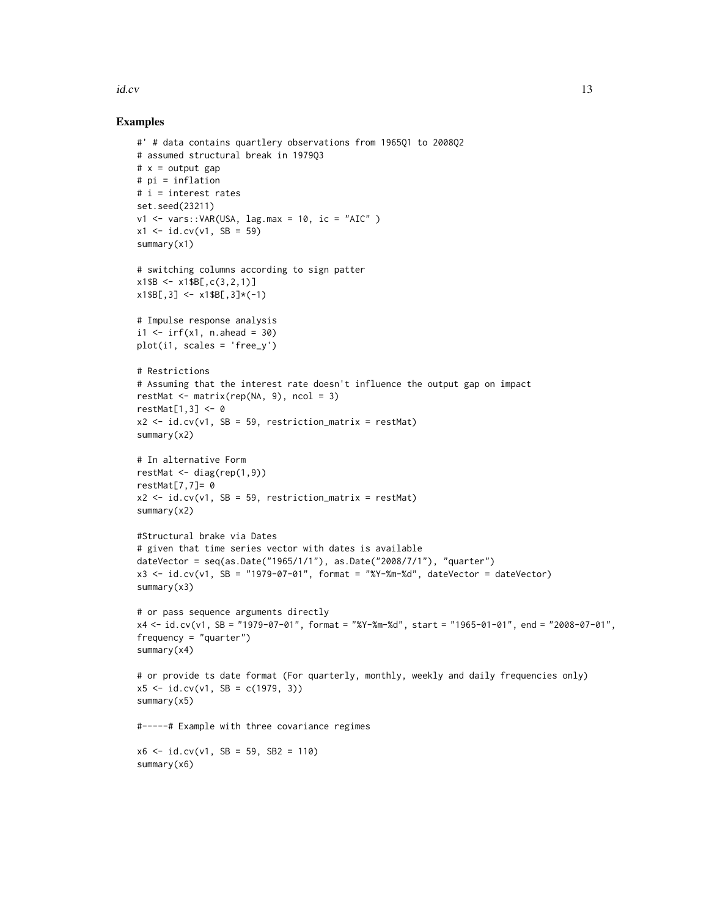$idcv$  13

#### Examples

```
#' # data contains quartlery observations from 1965Q1 to 2008Q2
# assumed structural break in 1979Q3
# x = output gap# pi = inflation
# i = interest rates
set.seed(23211)
v1 <- vars::VAR(USA, lag.max = 10, ic = "AIC" )
x1 \le -id.cv(v1, SB = 59)summary(x1)
# switching columns according to sign patter
x1$B <- x1$B[, c(3, 2, 1)]
x1$B[,3] <- x1$B[,3]*(-1)
# Impulse response analysis
i1 \leftarrow \text{irf}(x1, n.\text{ahead} = 30)plot(i1, scales = 'free_y')# Restrictions
# Assuming that the interest rate doesn't influence the output gap on impact
restMat \leq matrix(rep(NA, 9), ncol = 3)
restMat[1,3] <- 0
x2 \le -id.cv(v1, SB = 59, restriction_matrix = restMat)summary(x2)
# In alternative Form
restMat <- diag(rep(1,9))
restMat[7,7]= 0
x2 \le -id.cv(v1, SB = 59, restriction_matrix = restMat)summary(x2)
#Structural brake via Dates
# given that time series vector with dates is available
dateVector = seq(as.Date("1965/1/1"), as.Date("2008/7/1"), "quarter")
x3 <- id.cv(v1, SB = "1979-07-01", format = "%Y-%m-%d", dateVector = dateVector)
summary(x3)
# or pass sequence arguments directly
x4 <- id.cv(v1, SB = "1979-07-01", format = "%Y-%m-%d", start = "1965-01-01", end = "2008-07-01",
frequency = "quarter")
summary(x4)
# or provide ts date format (For quarterly, monthly, weekly and daily frequencies only)
x5 \le -id.cv(v1, SB = c(1979, 3))summary(x5)
#-----# Example with three covariance regimes
x6 \le - id.cv(v1, SB = 59, SB2 = 110)
summary(x6)
```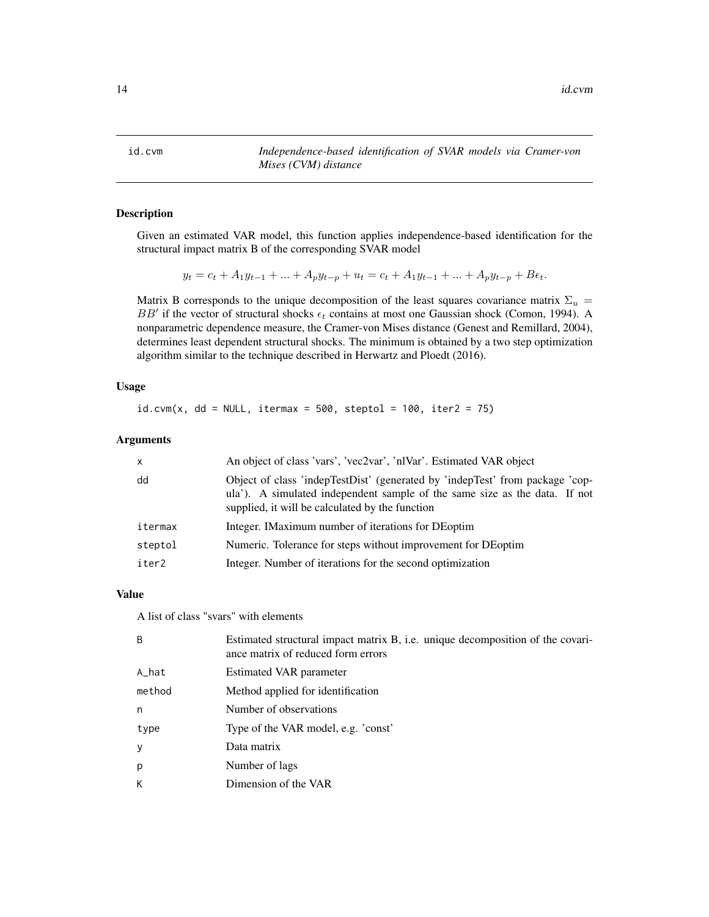<span id="page-13-1"></span><span id="page-13-0"></span>id.cvm *Independence-based identification of SVAR models via Cramer-von Mises (CVM) distance*

#### Description

Given an estimated VAR model, this function applies independence-based identification for the structural impact matrix B of the corresponding SVAR model

$$
y_t = c_t + A_1 y_{t-1} + \dots + A_p y_{t-p} + u_t = c_t + A_1 y_{t-1} + \dots + A_p y_{t-p} + B \epsilon_t.
$$

Matrix B corresponds to the unique decomposition of the least squares covariance matrix  $\Sigma_u$  = BB' if the vector of structural shocks  $\epsilon_t$  contains at most one Gaussian shock (Comon, 1994). A nonparametric dependence measure, the Cramer-von Mises distance (Genest and Remillard, 2004), determines least dependent structural shocks. The minimum is obtained by a two step optimization algorithm similar to the technique described in Herwartz and Ploedt (2016).

# Usage

 $id.cvm(x, dd = NULL, itermax = 500, steptol = 100, iter2 = 75)$ 

## Arguments

| $\mathsf{x}$ | An object of class 'vars', 'vec2var', 'nlVar'. Estimated VAR object                                                                                                                                           |
|--------------|---------------------------------------------------------------------------------------------------------------------------------------------------------------------------------------------------------------|
| dd           | Object of class 'indepTestDist' (generated by 'indepTest' from package 'cop-<br>ula'). A simulated independent sample of the same size as the data. If not<br>supplied, it will be calculated by the function |
| itermax      | Integer. IMaximum number of iterations for DEoptim                                                                                                                                                            |
| steptol      | Numeric. Tolerance for steps without improvement for DEoptim                                                                                                                                                  |
| iter2        | Integer. Number of iterations for the second optimization                                                                                                                                                     |

#### Value

A list of class "svars" with elements

| B      | Estimated structural impact matrix B, i.e. unique decomposition of the covari-<br>ance matrix of reduced form errors |
|--------|----------------------------------------------------------------------------------------------------------------------|
| A_hat  | <b>Estimated VAR</b> parameter                                                                                       |
| method | Method applied for identification                                                                                    |
| n      | Number of observations                                                                                               |
| type   | Type of the VAR model, e.g. 'const'                                                                                  |
| У      | Data matrix                                                                                                          |
| p      | Number of lags                                                                                                       |
| К      | Dimension of the VAR                                                                                                 |
|        |                                                                                                                      |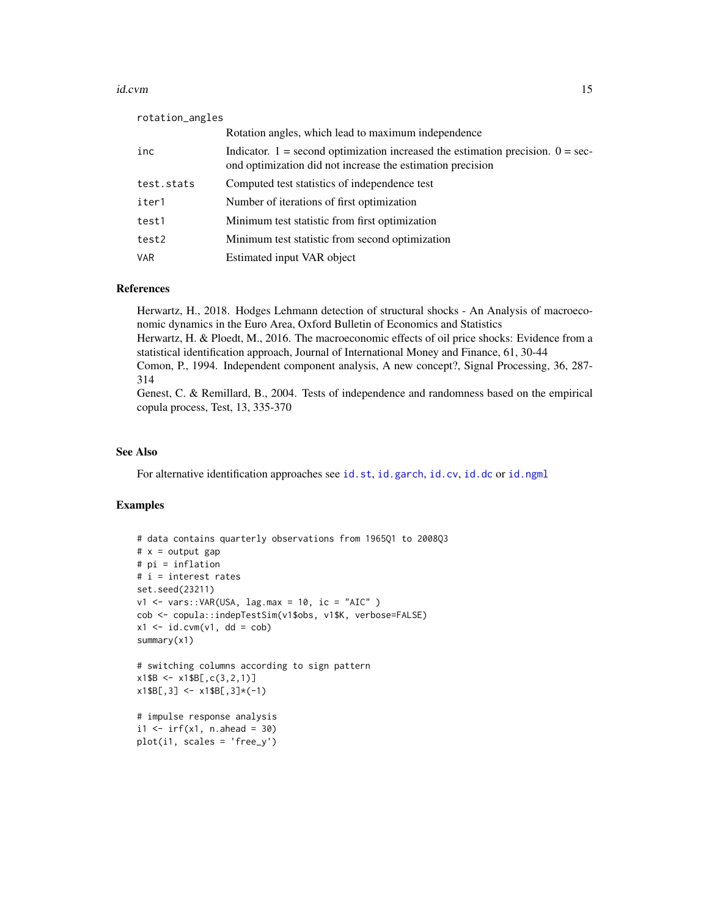#### <span id="page-14-0"></span>id.cvm and the contract of the contract of the contract of the contract of the contract of the contract of the contract of the contract of the contract of the contract of the contract of the contract of the contract of the

| rotation_angles |                                                                                                                                                   |  |
|-----------------|---------------------------------------------------------------------------------------------------------------------------------------------------|--|
|                 | Rotation angles, which lead to maximum independence                                                                                               |  |
| inc             | Indicator. $1 =$ second optimization increased the estimation precision. $0 =$ sec-<br>ond optimization did not increase the estimation precision |  |
| test.stats      | Computed test statistics of independence test                                                                                                     |  |
| iter1           | Number of iterations of first optimization                                                                                                        |  |
| test1           | Minimum test statistic from first optimization                                                                                                    |  |
| test2           | Minimum test statistic from second optimization                                                                                                   |  |
| <b>VAR</b>      | Estimated input VAR object                                                                                                                        |  |

#### References

Herwartz, H., 2018. Hodges Lehmann detection of structural shocks - An Analysis of macroeconomic dynamics in the Euro Area, Oxford Bulletin of Economics and Statistics

Herwartz, H. & Ploedt, M., 2016. The macroeconomic effects of oil price shocks: Evidence from a statistical identification approach, Journal of International Money and Finance, 61, 30-44

Comon, P., 1994. Independent component analysis, A new concept?, Signal Processing, 36, 287- 314

Genest, C. & Remillard, B., 2004. Tests of independence and randomness based on the empirical copula process, Test, 13, 335-370

# See Also

For alternative identification approaches see [id.st](#page-21-1), [id.garch](#page-16-1), [id.cv](#page-9-1), [id.dc](#page-15-1) or [id.ngml](#page-19-1)

#### Examples

```
# data contains quarterly observations from 1965Q1 to 2008Q3
# x = output gap
# pi = inflation
# i = interest rates
set.seed(23211)
v1 <- vars:: VAR(USA, lag.max = 10, ic = "AIC")
cob <- copula::indepTestSim(v1$obs, v1$K, verbose=FALSE)
x1 \le -id.cvm(v1, dd = cob)summary(x1)
# switching columns according to sign pattern
x1$B <- x1$B[,c(3,2,1)]
x1$B[,3] < - x1$B[,3] \times (-1)# impulse response analysis
```

```
i1 \leftarrow \text{irf}(x1, n.\text{ahead} = 30)plot(i1, scales = 'free_y')
```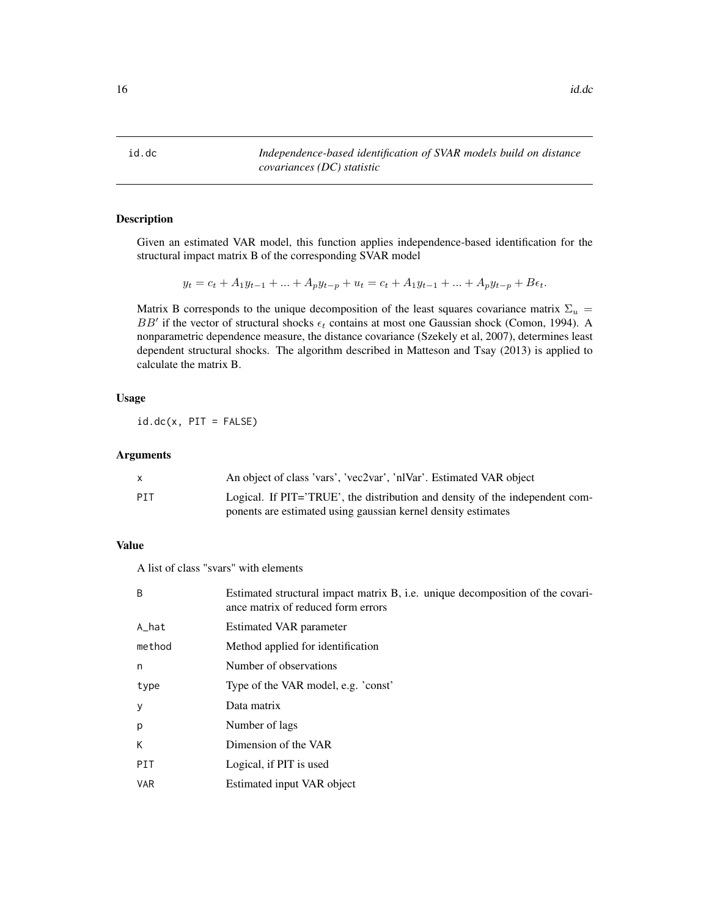<span id="page-15-1"></span><span id="page-15-0"></span>id.dc *Independence-based identification of SVAR models build on distance covariances (DC) statistic*

#### Description

Given an estimated VAR model, this function applies independence-based identification for the structural impact matrix B of the corresponding SVAR model

$$
y_t = c_t + A_1 y_{t-1} + \dots + A_p y_{t-p} + u_t = c_t + A_1 y_{t-1} + \dots + A_p y_{t-p} + B \epsilon_t.
$$

Matrix B corresponds to the unique decomposition of the least squares covariance matrix  $\Sigma_u$  = BB' if the vector of structural shocks  $\epsilon_t$  contains at most one Gaussian shock (Comon, 1994). A nonparametric dependence measure, the distance covariance (Szekely et al, 2007), determines least dependent structural shocks. The algorithm described in Matteson and Tsay (2013) is applied to calculate the matrix B.

#### Usage

 $id.dc(x, PIT = FALSE)$ 

#### Arguments

|     | An object of class 'vars', 'vec2var', 'nlVar'. Estimated VAR object          |
|-----|------------------------------------------------------------------------------|
| PTT | Logical. If PIT='TRUE', the distribution and density of the independent com- |
|     | ponents are estimated using gaussian kernel density estimates                |

## Value

A list of class "svars" with elements

| B          | Estimated structural impact matrix B, i.e. unique decomposition of the covari-<br>ance matrix of reduced form errors |  |
|------------|----------------------------------------------------------------------------------------------------------------------|--|
| A_hat      | <b>Estimated VAR</b> parameter                                                                                       |  |
| method     | Method applied for identification                                                                                    |  |
| n          | Number of observations                                                                                               |  |
| type       | Type of the VAR model, e.g. 'const'                                                                                  |  |
| У          | Data matrix                                                                                                          |  |
| p          | Number of lags                                                                                                       |  |
| К          | Dimension of the VAR                                                                                                 |  |
| PIT        | Logical, if PIT is used                                                                                              |  |
| <b>VAR</b> | Estimated input VAR object                                                                                           |  |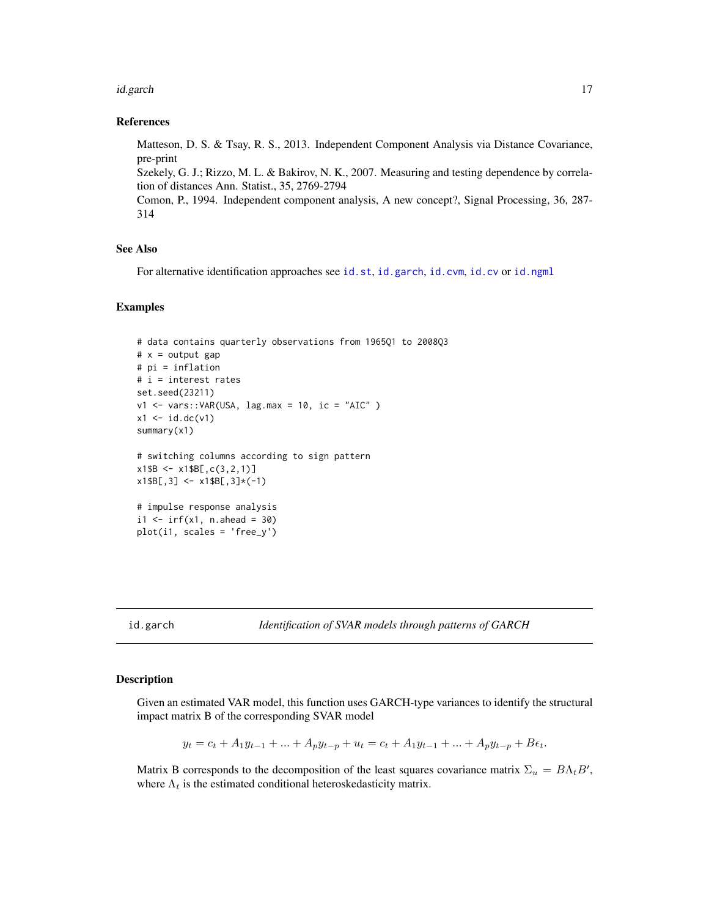#### <span id="page-16-0"></span>id.garch 17

#### References

Matteson, D. S. & Tsay, R. S., 2013. Independent Component Analysis via Distance Covariance, pre-print

Szekely, G. J.; Rizzo, M. L. & Bakirov, N. K., 2007. Measuring and testing dependence by correlation of distances Ann. Statist., 35, 2769-2794

Comon, P., 1994. Independent component analysis, A new concept?, Signal Processing, 36, 287- 314

# See Also

For alternative identification approaches see [id.st](#page-21-1), [id.garch](#page-16-1), [id.cvm](#page-13-1), [id.cv](#page-9-1) or [id.ngml](#page-19-1)

#### Examples

```
# data contains quarterly observations from 1965Q1 to 2008Q3
# x = output gap# pi = inflation
# i = interest rates
set.seed(23211)
v1 <- vars::VAR(USA, lag.max = 10, ic = "AIC" )
x1 \leftarrow id.dc(v1)summary(x1)
# switching columns according to sign pattern
x1$B <- x1$B[, c(3, 2, 1)]
x1$B[,3] < - x1$B[,3] * (-1)# impulse response analysis
i1 \leftarrow \text{irf}(x1, n.\text{ahead} = 30)plot(i1, scales = 'free_y')
```
<span id="page-16-1"></span>id.garch *Identification of SVAR models through patterns of GARCH*

#### Description

Given an estimated VAR model, this function uses GARCH-type variances to identify the structural impact matrix B of the corresponding SVAR model

$$
y_t = c_t + A_1 y_{t-1} + \dots + A_p y_{t-p} + u_t = c_t + A_1 y_{t-1} + \dots + A_p y_{t-p} + B \epsilon_t.
$$

Matrix B corresponds to the decomposition of the least squares covariance matrix  $\Sigma_u = B\Lambda_t B'$ , where  $\Lambda_t$  is the estimated conditional heteroskedasticity matrix.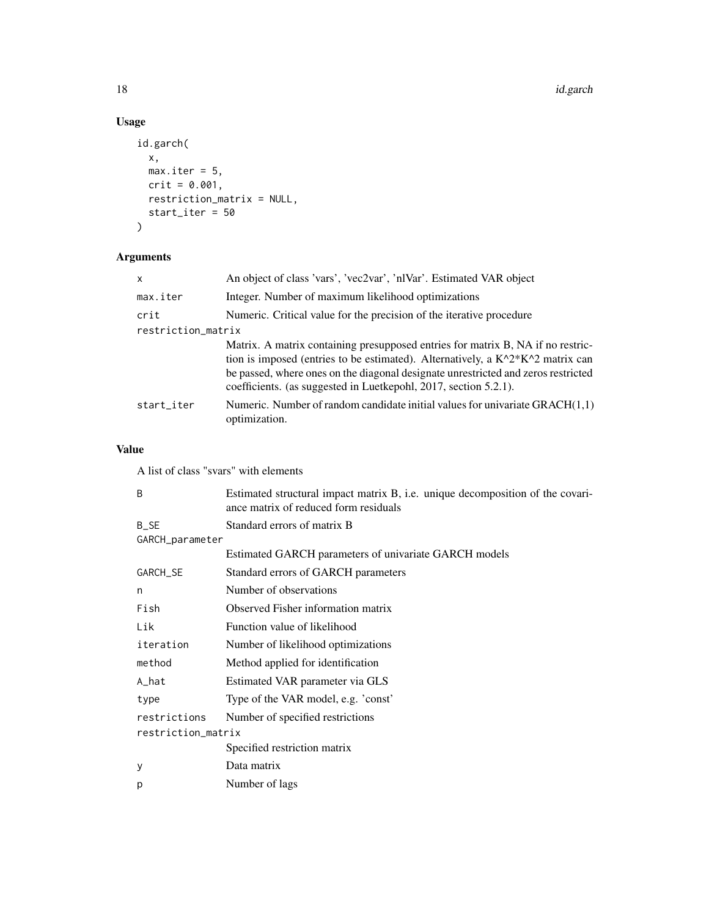# Usage

```
id.garch(
  x,
  max.iter = 5,
  crit = 0.001,restriction_matrix = NULL,
  start_iter = 50
\mathcal{L}
```
# Arguments

| X                  | An object of class 'vars', 'vec2var', 'nlVar'. Estimated VAR object                                                                                                                                                                                                                                                           |  |
|--------------------|-------------------------------------------------------------------------------------------------------------------------------------------------------------------------------------------------------------------------------------------------------------------------------------------------------------------------------|--|
| max.iter           | Integer. Number of maximum likelihood optimizations                                                                                                                                                                                                                                                                           |  |
| crit               | Numeric. Critical value for the precision of the iterative procedure                                                                                                                                                                                                                                                          |  |
| restriction_matrix |                                                                                                                                                                                                                                                                                                                               |  |
|                    | Matrix. A matrix containing presupposed entries for matrix B, NA if no restric-<br>tion is imposed (entries to be estimated). Alternatively, a $K^2^*K^2$ matrix can<br>be passed, where ones on the diagonal designate unrestricted and zeros restricted<br>coefficients. (as suggested in Luetkepohl, 2017, section 5.2.1). |  |
| start_iter         | Numeric. Number of random candidate initial values for univariate $GRACH(1,1)$<br>optimization.                                                                                                                                                                                                                               |  |

# Value

A list of class "svars" with elements

| B                                                | Estimated structural impact matrix B, i.e. unique decomposition of the covari-<br>ance matrix of reduced form residuals |  |
|--------------------------------------------------|-------------------------------------------------------------------------------------------------------------------------|--|
| Standard errors of matrix B<br>$B_$ SE           |                                                                                                                         |  |
| GARCH_parameter                                  |                                                                                                                         |  |
|                                                  | Estimated GARCH parameters of univariate GARCH models                                                                   |  |
| GARCH_SE                                         | Standard errors of GARCH parameters                                                                                     |  |
| n                                                | Number of observations                                                                                                  |  |
| Fish                                             | Observed Fisher information matrix                                                                                      |  |
| Lik                                              | Function value of likelihood                                                                                            |  |
| iteration                                        | Number of likelihood optimizations                                                                                      |  |
| method                                           | Method applied for identification                                                                                       |  |
| A_hat                                            | Estimated VAR parameter via GLS                                                                                         |  |
| type                                             | Type of the VAR model, e.g. 'const'                                                                                     |  |
| restrictions<br>Number of specified restrictions |                                                                                                                         |  |
| restriction_matrix                               |                                                                                                                         |  |
|                                                  | Specified restriction matrix                                                                                            |  |
| У                                                | Data matrix                                                                                                             |  |
| p                                                | Number of lags                                                                                                          |  |
|                                                  |                                                                                                                         |  |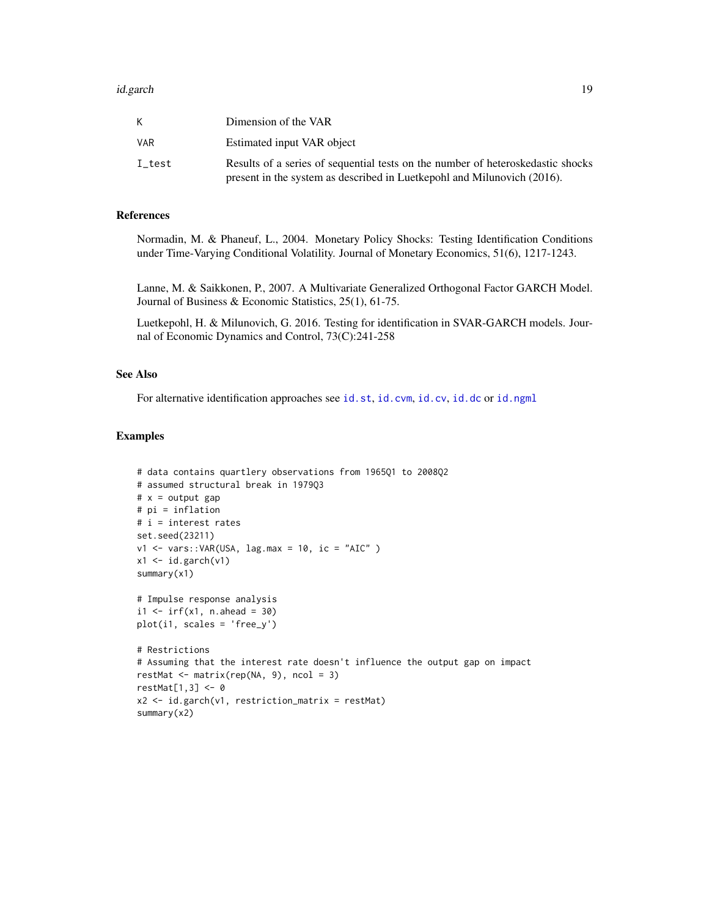<span id="page-18-0"></span>

| K.     | Dimension of the VAR                                                                                                                                       |
|--------|------------------------------------------------------------------------------------------------------------------------------------------------------------|
| VAR    | Estimated input VAR object                                                                                                                                 |
| I test | Results of a series of sequential tests on the number of heteroskedastic shocks<br>present in the system as described in Luetkepohl and Milunovich (2016). |

#### References

Normadin, M. & Phaneuf, L., 2004. Monetary Policy Shocks: Testing Identification Conditions under Time-Varying Conditional Volatility. Journal of Monetary Economics, 51(6), 1217-1243.

Lanne, M. & Saikkonen, P., 2007. A Multivariate Generalized Orthogonal Factor GARCH Model. Journal of Business & Economic Statistics, 25(1), 61-75.

Luetkepohl, H. & Milunovich, G. 2016. Testing for identification in SVAR-GARCH models. Journal of Economic Dynamics and Control, 73(C):241-258

# See Also

For alternative identification approaches see [id.st](#page-21-1), [id.cvm](#page-13-1), [id.cv](#page-9-1), [id.dc](#page-15-1) or [id.ngml](#page-19-1)

#### Examples

```
# data contains quartlery observations from 1965Q1 to 2008Q2
# assumed structural break in 1979Q3
# x = output gap# pi = inflation
# i = interest rates
set.seed(23211)
v1 <- vars::VAR(USA, lag.max = 10, ic = "AIC" )
x1 \leftarrow id.garch(v1)summary(x1)
# Impulse response analysis
i1 \leftarrow \inf(x1, n.\text{ ahead} = 30)plot(i1, scales = 'free_y')
# Restrictions
# Assuming that the interest rate doesn't influence the output gap on impact
restMat \leq matrix(rep(NA, 9), ncol = 3)
restMat[1,3] <- 0
x2 \le -id.garch(v1, restriction_matrix = restMat)summary(x2)
```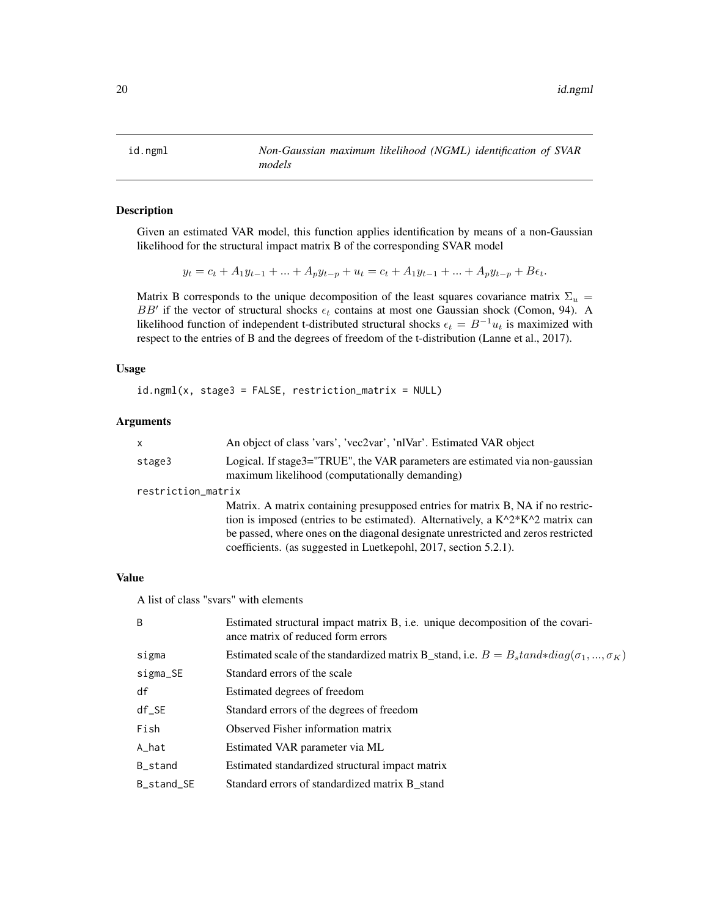<span id="page-19-1"></span><span id="page-19-0"></span>id.ngml *Non-Gaussian maximum likelihood (NGML) identification of SVAR models*

# Description

Given an estimated VAR model, this function applies identification by means of a non-Gaussian likelihood for the structural impact matrix B of the corresponding SVAR model

$$
y_t = c_t + A_1 y_{t-1} + \dots + A_p y_{t-p} + u_t = c_t + A_1 y_{t-1} + \dots + A_p y_{t-p} + B \epsilon_t.
$$

Matrix B corresponds to the unique decomposition of the least squares covariance matrix  $\Sigma_u$  = BB' if the vector of structural shocks  $\epsilon_t$  contains at most one Gaussian shock (Comon, 94). A likelihood function of independent t-distributed structural shocks  $\epsilon_t = B^{-1}u_t$  is maximized with respect to the entries of B and the degrees of freedom of the t-distribution (Lanne et al., 2017).

# Usage

id.ngml(x, stage3 = FALSE, restriction\_matrix = NULL)

#### **Arguments**

| $\mathsf{X}$       | An object of class 'vars', 'vec2var', 'nlVar'. Estimated VAR object                                                            |  |
|--------------------|--------------------------------------------------------------------------------------------------------------------------------|--|
| stage3             | Logical. If stage3="TRUE", the VAR parameters are estimated via non-gaussian<br>maximum likelihood (computationally demanding) |  |
| restriction_matrix |                                                                                                                                |  |
|                    | Matrix. A matrix containing presupposed entries for matrix B, NA if no restric-                                                |  |
|                    | tion is imposed (entries to be estimated). Alternatively, a $K^2*K^2$ matrix can                                               |  |

coefficients. (as suggested in Luetkepohl, 2017, section 5.2.1).

be passed, where ones on the diagonal designate unrestricted and zeros restricted

#### Value

A list of class "svars" with elements

| B                    | Estimated structural impact matrix B, i.e. unique decomposition of the covari-<br>ance matrix of reduced form errors |  |
|----------------------|----------------------------------------------------------------------------------------------------------------------|--|
|                      |                                                                                                                      |  |
| sigma                | Estimated scale of the standardized matrix B_stand, i.e. $B = B_s$ tand $\ast diag(\sigma_1, , \sigma_K)$            |  |
| sigma_SE             | Standard errors of the scale                                                                                         |  |
| df                   | Estimated degrees of freedom                                                                                         |  |
| $df$ <sub>_</sub> SE | Standard errors of the degrees of freedom                                                                            |  |
| Fish                 | Observed Fisher information matrix                                                                                   |  |
| A_hat                | Estimated VAR parameter via ML                                                                                       |  |
| B_stand              | Estimated standardized structural impact matrix                                                                      |  |
| B_stand_SE           | Standard errors of standardized matrix B stand                                                                       |  |
|                      |                                                                                                                      |  |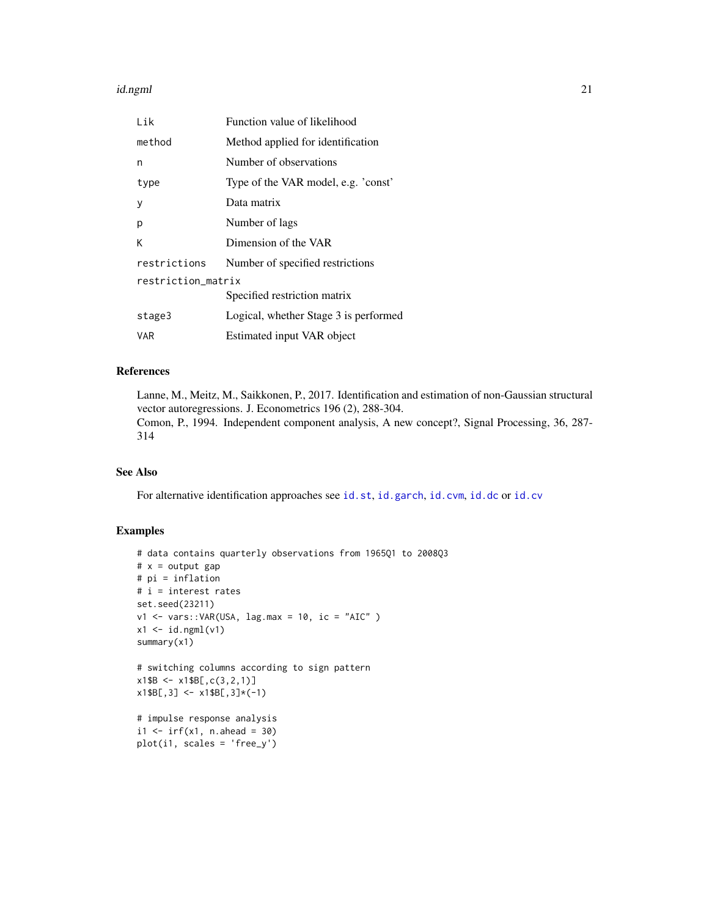#### <span id="page-20-0"></span>id.ngml 21

| Lik                | Function value of likelihood          |  |
|--------------------|---------------------------------------|--|
| method             | Method applied for identification     |  |
| n                  | Number of observations                |  |
| type               | Type of the VAR model, e.g. 'const'   |  |
| у                  | Data matrix                           |  |
| р                  | Number of lags                        |  |
| Κ                  | Dimension of the VAR                  |  |
| restrictions       | Number of specified restrictions      |  |
| restriction_matrix |                                       |  |
|                    | Specified restriction matrix          |  |
| stage3             | Logical, whether Stage 3 is performed |  |
| VAR                | Estimated input VAR object            |  |

# References

Lanne, M., Meitz, M., Saikkonen, P., 2017. Identification and estimation of non-Gaussian structural vector autoregressions. J. Econometrics 196 (2), 288-304. Comon, P., 1994. Independent component analysis, A new concept?, Signal Processing, 36, 287- 314

# See Also

For alternative identification approaches see [id.st](#page-21-1), [id.garch](#page-16-1), [id.cvm](#page-13-1), [id.dc](#page-15-1) or [id.cv](#page-9-1)

# Examples

```
# data contains quarterly observations from 1965Q1 to 2008Q3
# x = output gap
# pi = inflation
# i = interest rates
set.seed(23211)
v1 \le -\text{vars}: \text{VAR}(\text{USA}, \text{lag.max} = 10, \text{ ic} = \text{"AIC"})x1 \leftarrow id.ngml(v1)summary(x1)
# switching columns according to sign pattern
x1$B <- x1$B[,c(3,2,1)]
x1$B[,3] < - x1$B[,3] * (-1)# impulse response analysis
i1 \leftarrow \inf(x1, n.\text{ ahead} = 30)plot(i1, scales = 'free_y')
```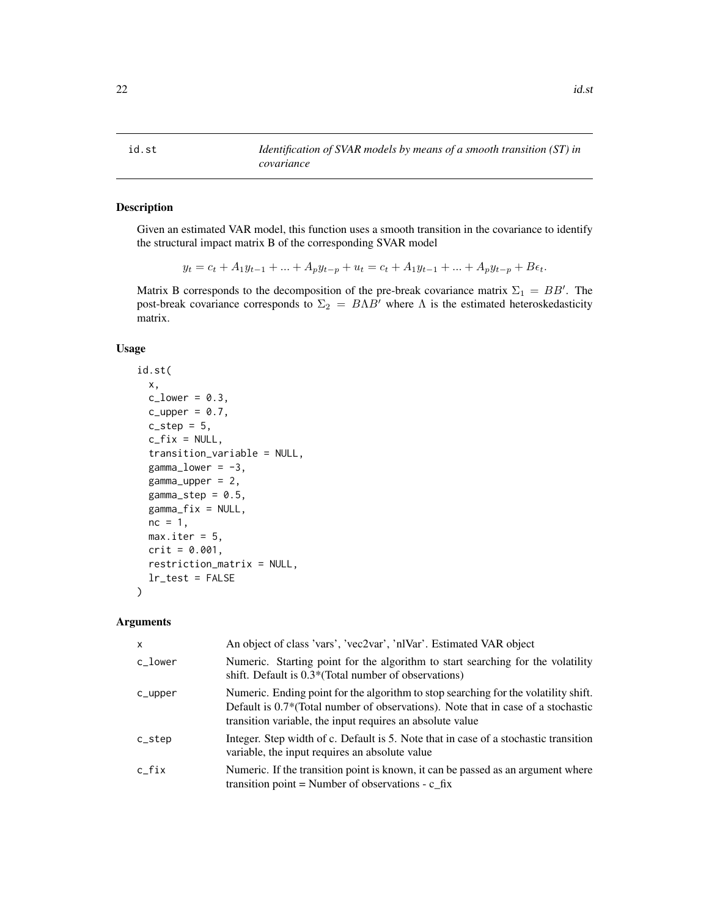<span id="page-21-1"></span><span id="page-21-0"></span>id.st *Identification of SVAR models by means of a smooth transition (ST) in covariance*

## Description

Given an estimated VAR model, this function uses a smooth transition in the covariance to identify the structural impact matrix B of the corresponding SVAR model

$$
y_t = c_t + A_1 y_{t-1} + \dots + A_p y_{t-p} + u_t = c_t + A_1 y_{t-1} + \dots + A_p y_{t-p} + B \epsilon_t.
$$

Matrix B corresponds to the decomposition of the pre-break covariance matrix  $\Sigma_1 = BB'$ . The post-break covariance corresponds to  $\Sigma_2 = B\Lambda B'$  where  $\Lambda$  is the estimated heteroskedasticity matrix.

#### Usage

```
id.st(
  x,
  c_lower = 0.3,
  c_{\text{upper}} = 0.7,
  c_{}step = 5,
  c_fix = NULL,transition_variable = NULL,
  gamma<sub>_lower</sub> = -3,
  gamma_{\text{comp}} = 2,
  gamma_step = 0.5,
  gamma_fix = NULL,
  nc = 1,
  max.iter = 5,
  crit = 0.001,restriction_matrix = NULL,
  lr_test = FALSE
)
```
#### Arguments

| x        | An object of class 'vars', 'vec2var', 'nlVar'. Estimated VAR object                                                                                                                                                                               |
|----------|---------------------------------------------------------------------------------------------------------------------------------------------------------------------------------------------------------------------------------------------------|
| c_lower  | Numeric. Starting point for the algorithm to start searching for the volatility<br>shift. Default is 0.3*(Total number of observations)                                                                                                           |
| c_upper  | Numeric. Ending point for the algorithm to stop searching for the volatility shift.<br>Default is 0.7 <sup>*</sup> (Total number of observations). Note that in case of a stochastic<br>transition variable, the input requires an absolute value |
| c_step   | Integer. Step width of c. Default is 5. Note that in case of a stochastic transition<br>variable, the input requires an absolute value                                                                                                            |
| $c_f$ ix | Numeric. If the transition point is known, it can be passed as an argument where<br>transition point = Number of observations - $c$ _fix                                                                                                          |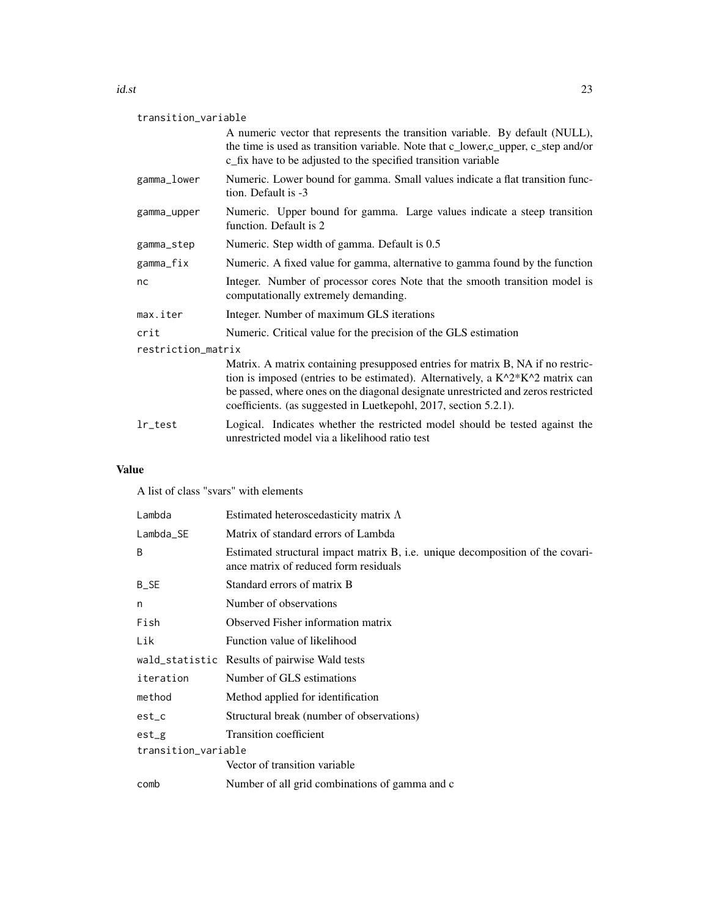#### transition\_variable

A numeric vector that represents the transition variable. By default (NULL), the time is used as transition variable. Note that c\_lower,c\_upper, c\_step and/or c\_fix have to be adjusted to the specified transition variable

- gamma\_lower Numeric. Lower bound for gamma. Small values indicate a flat transition function. Default is -3
- gamma\_upper Numeric. Upper bound for gamma. Large values indicate a steep transition function. Default is 2
- gamma\_step Numeric. Step width of gamma. Default is 0.5
- gamma\_fix Numeric. A fixed value for gamma, alternative to gamma found by the function
- nc Integer. Number of processor cores Note that the smooth transition model is computationally extremely demanding.
- max.iter Integer. Number of maximum GLS iterations

```
crit Numeric. Critical value for the precision of the GLS estimation
```
restriction\_matrix

Matrix. A matrix containing presupposed entries for matrix B, NA if no restriction is imposed (entries to be estimated). Alternatively, a  $K^2*K^2$  matrix can be passed, where ones on the diagonal designate unrestricted and zeros restricted coefficients. (as suggested in Luetkepohl, 2017, section 5.2.1).

lr\_test Logical. Indicates whether the restricted model should be tested against the unrestricted model via a likelihood ratio test

#### Value

A list of class "svars" with elements

| Lambda              | Estimated heteroscedasticity matrix $\Lambda$                                                                           |
|---------------------|-------------------------------------------------------------------------------------------------------------------------|
| Lambda_SE           | Matrix of standard errors of Lambda                                                                                     |
| B                   | Estimated structural impact matrix B, i.e. unique decomposition of the covari-<br>ance matrix of reduced form residuals |
| B_SE                | Standard errors of matrix B                                                                                             |
| n                   | Number of observations                                                                                                  |
| Fish                | Observed Fisher information matrix                                                                                      |
| Lik                 | Function value of likelihood                                                                                            |
|                     | wald_statistic Results of pairwise Wald tests                                                                           |
| iteration           | Number of GLS estimations                                                                                               |
| method              | Method applied for identification                                                                                       |
| $est_c$             | Structural break (number of observations)                                                                               |
| $est_g$             | <b>Transition coefficient</b>                                                                                           |
| transition_variable |                                                                                                                         |
|                     | Vector of transition variable                                                                                           |
| comb                | Number of all grid combinations of gamma and c                                                                          |
|                     |                                                                                                                         |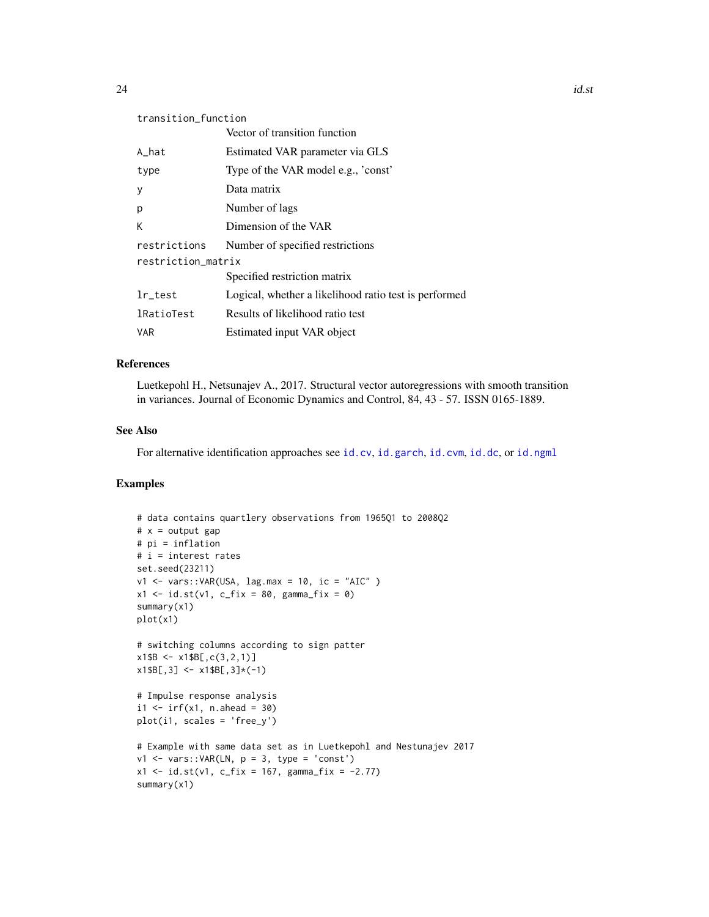# <span id="page-23-0"></span>transition\_function Vector of transition function

|                    | veetor or transition runetion                         |
|--------------------|-------------------------------------------------------|
| A_hat              | Estimated VAR parameter via GLS                       |
| type               | Type of the VAR model e.g., 'const'                   |
| y                  | Data matrix                                           |
| p                  | Number of lags                                        |
| К                  | Dimension of the VAR                                  |
| restrictions       | Number of specified restrictions                      |
| restriction_matrix |                                                       |
|                    | Specified restriction matrix                          |
| lr test            | Logical, whether a likelihood ratio test is performed |
| lRatioTest         | Results of likelihood ratio test                      |
| <b>VAR</b>         | Estimated input VAR object                            |

# References

Luetkepohl H., Netsunajev A., 2017. Structural vector autoregressions with smooth transition in variances. Journal of Economic Dynamics and Control, 84, 43 - 57. ISSN 0165-1889.

#### See Also

For alternative identification approaches see [id.cv](#page-9-1), [id.garch](#page-16-1), [id.cvm](#page-13-1), [id.dc](#page-15-1), or [id.ngml](#page-19-1)

# Examples

```
# data contains quartlery observations from 1965Q1 to 2008Q2
# x = output gap# pi = inflation
# i = interest rates
set.seed(23211)
v1 \le -\text{vars}: VAR(USA, lag.max = 10, ic = "AIC")x1 \le -id.st(v1, c_fix = 80, gamma_fix = 0)summary(x1)
plot(x1)
# switching columns according to sign patter
x1$B <- x1$B[,c(3,2,1)]
x1$B[,3] < - x1$B[,3] * (-1)# Impulse response analysis
i1 \leftarrow \inf(x1, n.\text{ ahead} = 30)plot(i1, scales = 'free_y')
# Example with same data set as in Luetkepohl and Nestunajev 2017
v1 \le -\text{vars}: \text{VAR(LN, p = 3, type = 'const')}x1 \le -id.st(v1, c_fix = 167, gamma_fix = -2.77)summary(x1)
```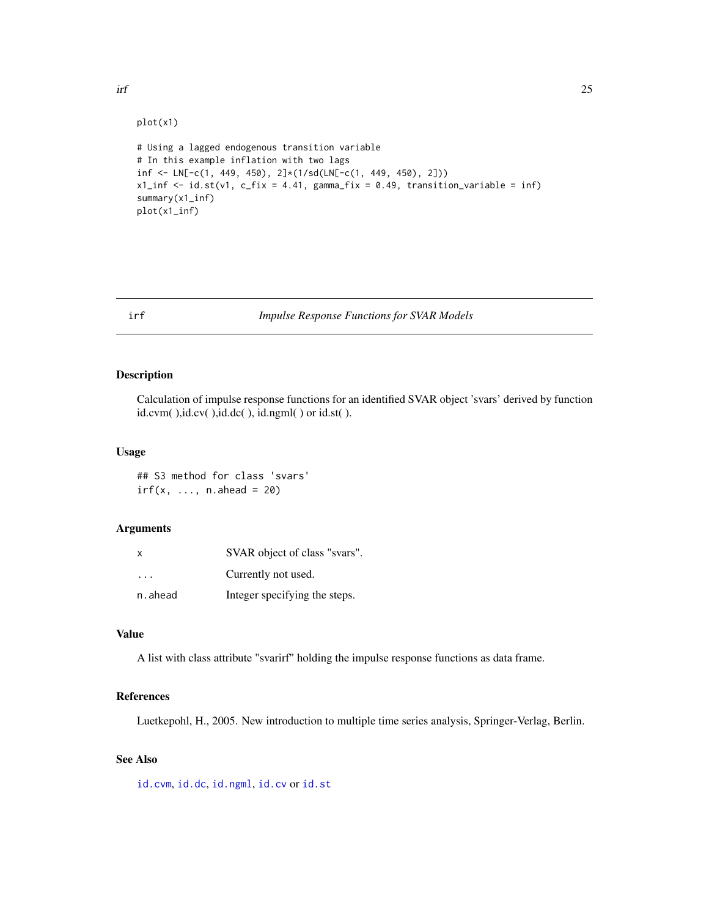```
plot(x1)
# Using a lagged endogenous transition variable
# In this example inflation with two lags
inf \leftarrow \text{LN}[-c(1, 449, 450), 2] \times (1/sd(LN[-c(1, 449, 450), 2]))x1_inf <- id.st(v1, c_fix = 4.41, gamma_fix = 0.49, transition_variable = inf)
summary(x1_inf)
```
plot(x1\_inf)

irf *Impulse Response Functions for SVAR Models*

# Description

Calculation of impulse response functions for an identified SVAR object 'svars' derived by function id.cvm( ),id.cv( ),id.dc( ), id.ngml( ) or id.st( ).

# Usage

## S3 method for class 'svars'  $irf(x, ..., n. ahead = 20)$ 

# Arguments

| X       | SVAR object of class "svars". |
|---------|-------------------------------|
| $\cdot$ | Currently not used.           |
| n.ahead | Integer specifying the steps. |

# Value

A list with class attribute "svarirf" holding the impulse response functions as data frame.

# References

Luetkepohl, H., 2005. New introduction to multiple time series analysis, Springer-Verlag, Berlin.

# See Also

[id.cvm](#page-13-1), [id.dc](#page-15-1), [id.ngml](#page-19-1), [id.cv](#page-9-1) or [id.st](#page-21-1)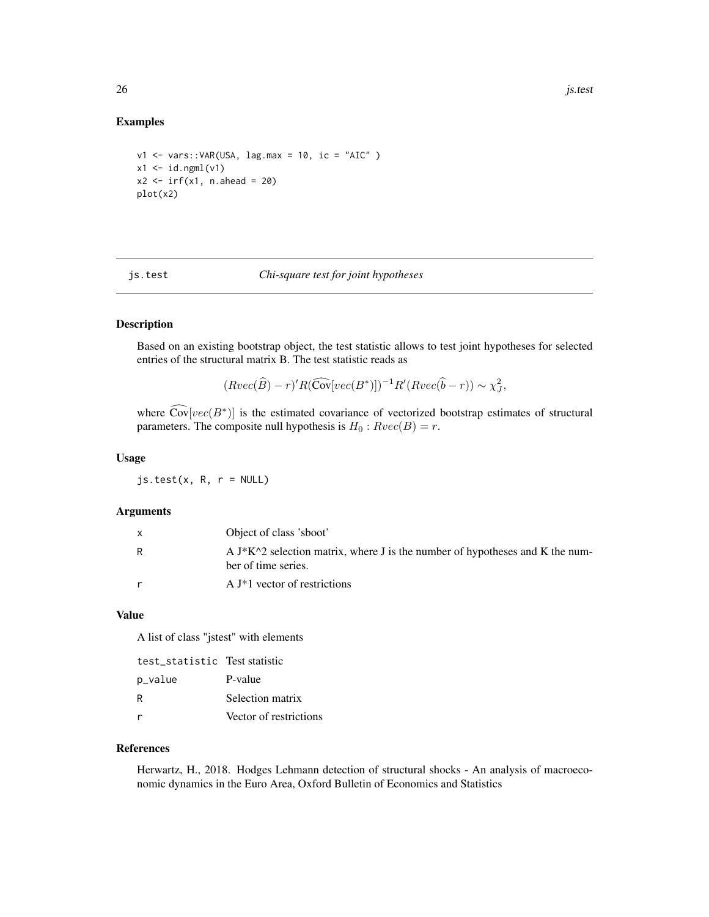## Examples

```
v1 \le - vars:: VAR(USA, lag.max = 10, ic = "AIC")
x1 \leftarrow id.ngml(v1)x2 \le irf(x1, n.ahead = 20)
plot(x2)
```
 $\mathbb{Z}^2$ 

#### js.test *Chi-square test for joint hypotheses*

# Description

Based on an existing bootstrap object, the test statistic allows to test joint hypotheses for selected entries of the structural matrix B. The test statistic reads as

$$
(Rvec(\widehat{B})-r)'R(\widehat{\mathrm{Cov}}[vec(B^*)])^{-1}R'(Rvec(\widehat{b}-r)) \sim \chi_J^2,
$$

where  $\widehat{\text{Cov}}[vec(B^*)]$  is the estimated covariance of vectorized bootstrap estimates of structural parameters. The composite null hypothesis is  $H_0$ :  $Rvec(B) = r$ .

## Usage

 $js.test(x, R, r = NULL)$ 

# Arguments

| Object of class 'sboot'                                                                               |
|-------------------------------------------------------------------------------------------------------|
| A $J*K^2$ selection matrix, where J is the number of hypotheses and K the num-<br>ber of time series. |
| A $J^*1$ vector of restrictions                                                                       |

# Value

A list of class "jstest" with elements

| test statistic Test statistic |                        |
|-------------------------------|------------------------|
| p_value                       | P-value                |
| R                             | Selection matrix       |
| r                             | Vector of restrictions |

#### References

Herwartz, H., 2018. Hodges Lehmann detection of structural shocks - An analysis of macroeconomic dynamics in the Euro Area, Oxford Bulletin of Economics and Statistics

<span id="page-25-0"></span>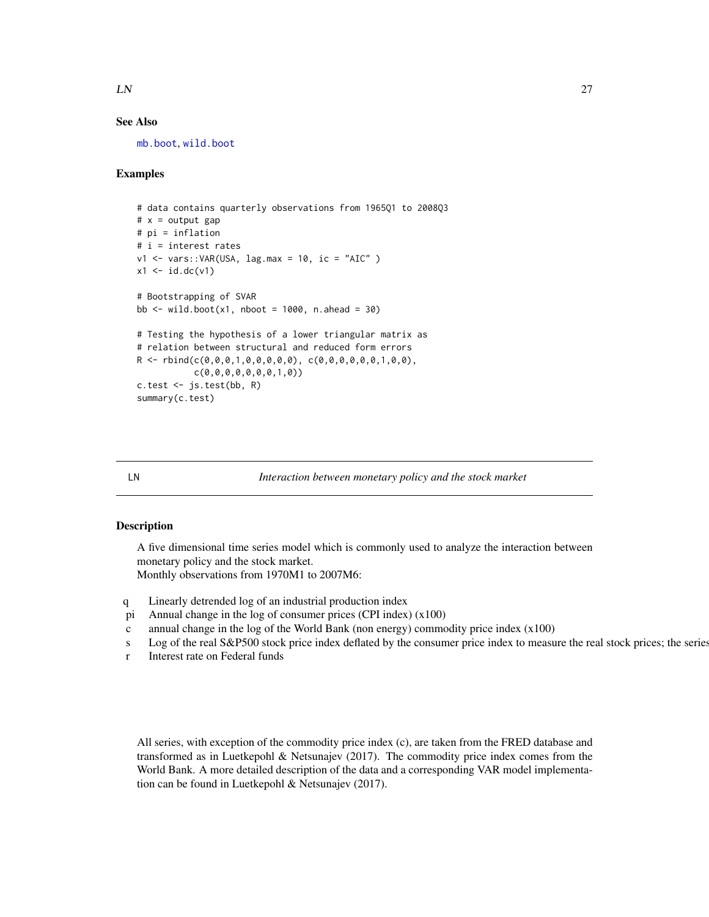# <span id="page-26-0"></span>See Also

[mb.boot](#page-27-1), [wild.boot](#page-33-1)

# Examples

```
# data contains quarterly observations from 1965Q1 to 2008Q3
# x = output gap# pi = inflation
# i = interest rates
v1 \le -\text{vars}: VAR(USA, lag.max = 10, ic = "AIC")x1 \leftarrow id.dc(v1)# Bootstrapping of SVAR
bb \le wild.boot(x1, nboot = 1000, n.ahead = 30)
# Testing the hypothesis of a lower triangular matrix as
# relation between structural and reduced form errors
R \leq -r \text{bind}(c(0,0,0,1,0,0,0,0,0), c(0,0,0,0,0,0,1,0,0),c(0,0,0,0,0,0,0,1,0))
c.test <- js.test(bb, R)
summary(c.test)
```
LN *Interaction between monetary policy and the stock market*

#### Description

A five dimensional time series model which is commonly used to analyze the interaction between monetary policy and the stock market. Monthly observations from 1970M1 to 2007M6:

- q Linearly detrended log of an industrial production index
- pi Annual change in the log of consumer prices (CPI index) (x100)
- c annual change in the log of the World Bank (non energy) commodity price index (x100)
- s Log of the real S&P500 stock price index deflated by the consumer price index to measure the real stock prices; the series
- r Interest rate on Federal funds

All series, with exception of the commodity price index (c), are taken from the FRED database and transformed as in Luetkepohl & Netsunajev (2017). The commodity price index comes from the World Bank. A more detailed description of the data and a corresponding VAR model implementation can be found in Luetkepohl & Netsunajev (2017).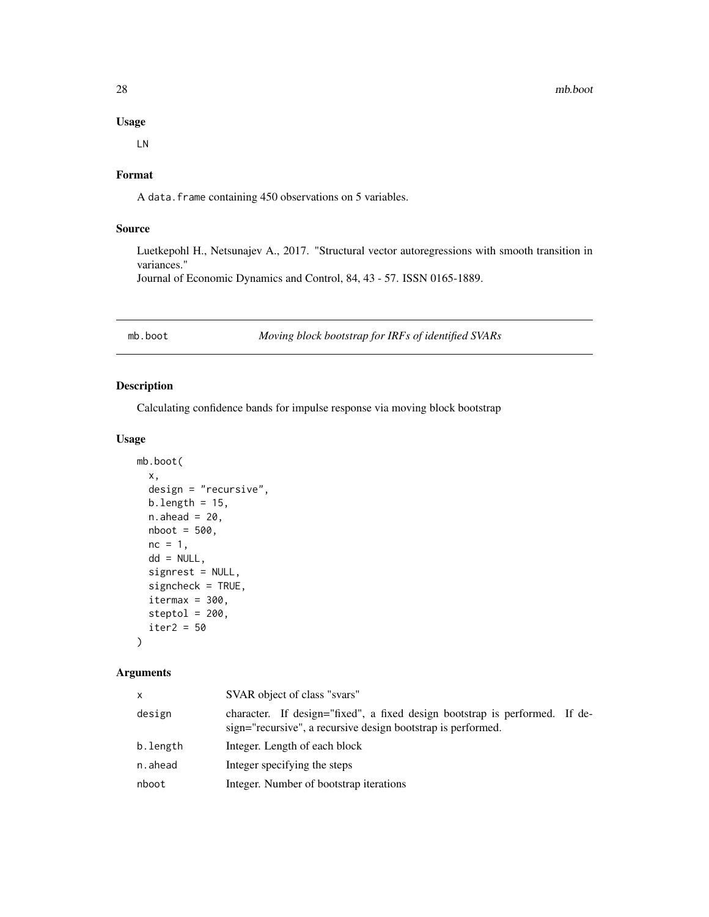#### Usage

LN

# Format

A data.frame containing 450 observations on 5 variables.

# Source

Luetkepohl H., Netsunajev A., 2017. "Structural vector autoregressions with smooth transition in variances."

Journal of Economic Dynamics and Control, 84, 43 - 57. ISSN 0165-1889.

<span id="page-27-1"></span>mb.boot *Moving block bootstrap for IRFs of identified SVARs*

# Description

Calculating confidence bands for impulse response via moving block bootstrap

# Usage

```
mb.boot(
 x,
 design = "recursive",
 b.length = 15,
 n.ahead = 20,
 nboot = 500,nc = 1,
 dd = NULL,signrest = NULL,
  signcheck = TRUE,
  itermax = 300,steptol = 200,iter2 = 50
)
```
# Arguments

| x        | SVAR object of class "svars"                                                                                                                |
|----------|---------------------------------------------------------------------------------------------------------------------------------------------|
| design   | character. If design="fixed", a fixed design bootstrap is performed. If de-<br>sign="recursive", a recursive design bootstrap is performed. |
| b.length | Integer. Length of each block                                                                                                               |
| n.ahead  | Integer specifying the steps                                                                                                                |
| nboot    | Integer. Number of bootstrap iterations                                                                                                     |

<span id="page-27-0"></span>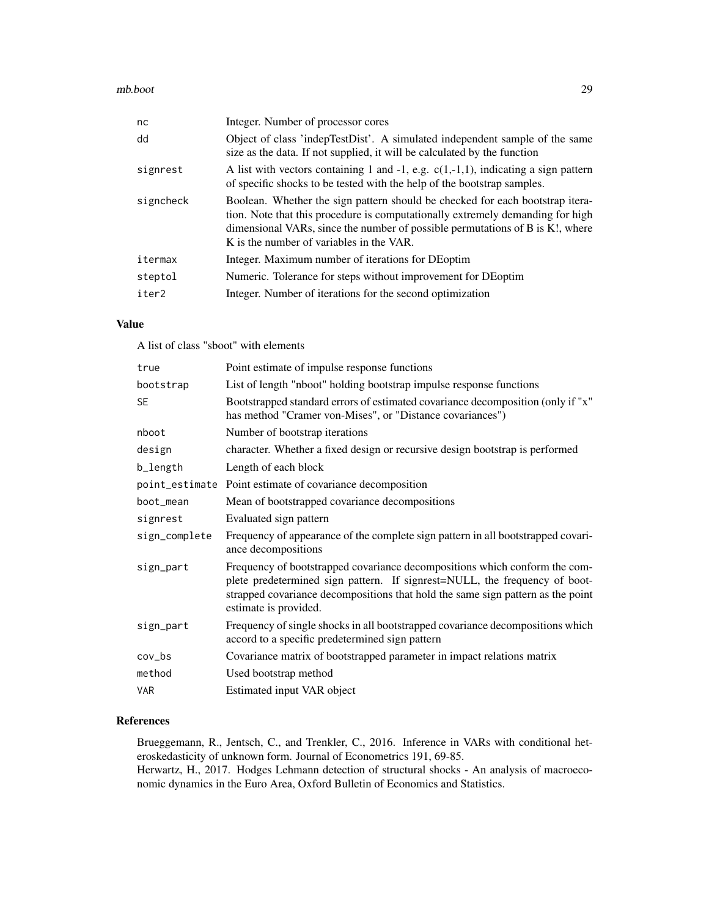#### mb.boot 29

| nc        | Integer. Number of processor cores                                                                                                                                                                                                                                                           |
|-----------|----------------------------------------------------------------------------------------------------------------------------------------------------------------------------------------------------------------------------------------------------------------------------------------------|
| dd        | Object of class 'indepTestDist'. A simulated independent sample of the same<br>size as the data. If not supplied, it will be calculated by the function                                                                                                                                      |
| signrest  | A list with vectors containing 1 and -1, e.g. $c(1,-1,1)$ , indicating a sign pattern<br>of specific shocks to be tested with the help of the bootstrap samples.                                                                                                                             |
| signcheck | Boolean. Whether the sign pattern should be checked for each bootstrap itera-<br>tion. Note that this procedure is computationally extremely demanding for high<br>dimensional VARs, since the number of possible permutations of B is K!, where<br>K is the number of variables in the VAR. |
| itermax   | Integer. Maximum number of iterations for DEoptim                                                                                                                                                                                                                                            |
| steptol   | Numeric. Tolerance for steps without improvement for DEoptim                                                                                                                                                                                                                                 |
| iter2     | Integer. Number of iterations for the second optimization                                                                                                                                                                                                                                    |

# Value

A list of class "sboot" with elements

| true          | Point estimate of impulse response functions                                                                                                                                                                                                                         |
|---------------|----------------------------------------------------------------------------------------------------------------------------------------------------------------------------------------------------------------------------------------------------------------------|
| bootstrap     | List of length "nboot" holding bootstrap impulse response functions                                                                                                                                                                                                  |
| <b>SE</b>     | Bootstrapped standard errors of estimated covariance decomposition (only if "x"<br>has method "Cramer von-Mises", or "Distance covariances")                                                                                                                         |
| nboot         | Number of bootstrap iterations                                                                                                                                                                                                                                       |
| design        | character. Whether a fixed design or recursive design bootstrap is performed                                                                                                                                                                                         |
| b_length      | Length of each block                                                                                                                                                                                                                                                 |
|               | point_estimate Point estimate of covariance decomposition                                                                                                                                                                                                            |
| boot_mean     | Mean of bootstrapped covariance decompositions                                                                                                                                                                                                                       |
| signrest      | Evaluated sign pattern                                                                                                                                                                                                                                               |
| sign_complete | Frequency of appearance of the complete sign pattern in all bootstrapped covari-<br>ance decompositions                                                                                                                                                              |
| sign_part     | Frequency of bootstrapped covariance decompositions which conform the com-<br>plete predetermined sign pattern. If signrest=NULL, the frequency of boot-<br>strapped covariance decompositions that hold the same sign pattern as the point<br>estimate is provided. |
| sign_part     | Frequency of single shocks in all bootstrapped covariance decompositions which<br>accord to a specific predetermined sign pattern                                                                                                                                    |
| cov_bs        | Covariance matrix of bootstrapped parameter in impact relations matrix                                                                                                                                                                                               |
| method        | Used bootstrap method                                                                                                                                                                                                                                                |
| <b>VAR</b>    | Estimated input VAR object                                                                                                                                                                                                                                           |

# References

Brueggemann, R., Jentsch, C., and Trenkler, C., 2016. Inference in VARs with conditional heteroskedasticity of unknown form. Journal of Econometrics 191, 69-85. Herwartz, H., 2017. Hodges Lehmann detection of structural shocks - An analysis of macroeconomic dynamics in the Euro Area, Oxford Bulletin of Economics and Statistics.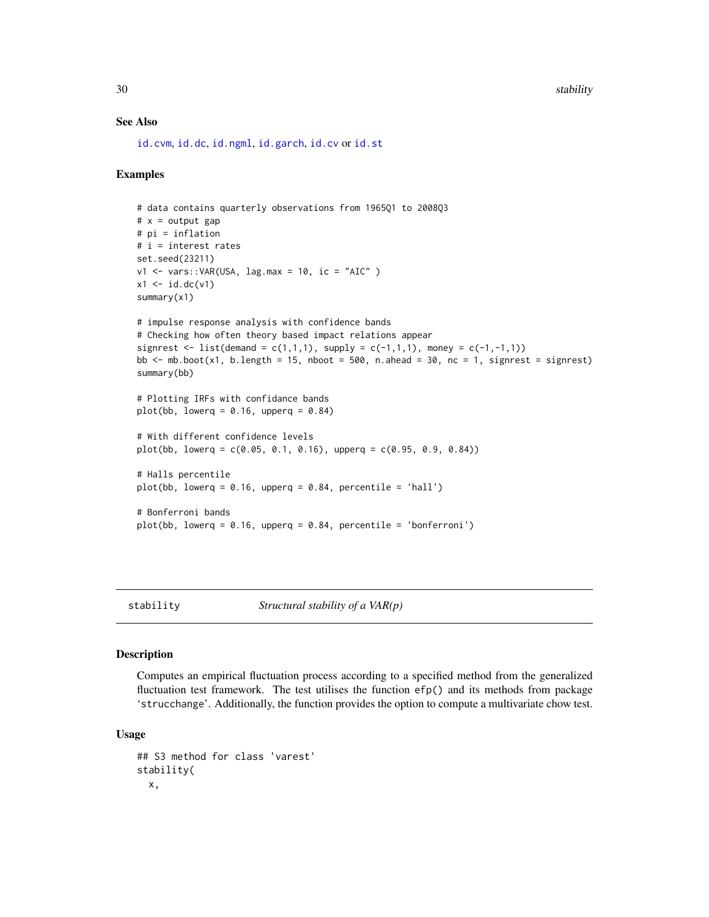#### <span id="page-29-0"></span>30 stability stability and the stability stability stability stability stability stability

# See Also

[id.cvm](#page-13-1), [id.dc](#page-15-1), [id.ngml](#page-19-1), [id.garch](#page-16-1), [id.cv](#page-9-1) or [id.st](#page-21-1)

#### Examples

```
# data contains quarterly observations from 1965Q1 to 2008Q3
# x = output gap# pi = inflation
# i = interest rates
set.seed(23211)
v1 <- vars::VAR(USA, lag.max = 10, ic = "AIC")
x1 \leftarrow id.dc(v1)summary(x1)
# impulse response analysis with confidence bands
# Checking how often theory based impact relations appear
signrest <- list(demand = c(1,1,1), supply = c(-1,1,1), money = c(-1,-1,1))
bb \le - mb.boot(x1, b.length = 15, nboot = 500, n.ahead = 30, nc = 1, signrest = signrest)
summary(bb)
# Plotting IRFs with confidance bands
plot(bb, lowerq = 0.16, upperq = 0.84)
# With different confidence levels
plot(bb, lowerq = c(0.05, 0.1, 0.16), upperq = c(0.95, 0.9, 0.84))# Halls percentile
plot(bb, lowerq = 0.16, upperq = 0.84, percentile = 'hall')# Bonferroni bands
plot(bb, lowerq = 0.16, upperq = 0.84, percentile = 'bonferroni')
```
<span id="page-29-1"></span>

stability *Structural stability of a VAR(p)*

#### Description

Computes an empirical fluctuation process according to a specified method from the generalized fluctuation test framework. The test utilises the function efp() and its methods from package 'strucchange'. Additionally, the function provides the option to compute a multivariate chow test.

#### Usage

```
## S3 method for class 'varest'
stability(
  x,
```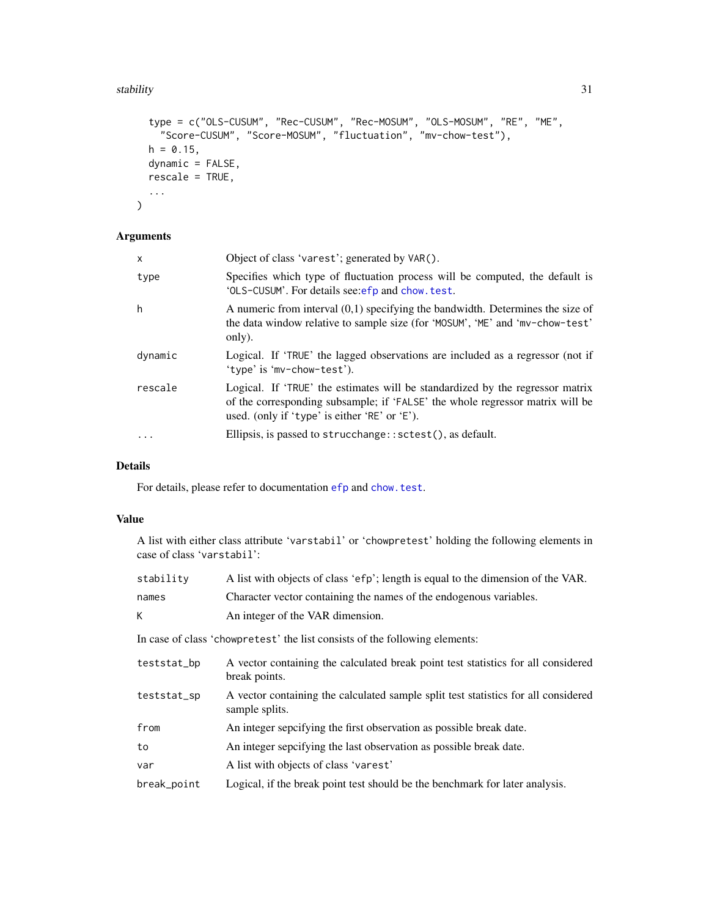### <span id="page-30-0"></span>stability 31

```
type = c("OLS-CUSUM", "Rec-CUSUM", "Rec-MOSUM", "OLS-MOSUM", "RE", "ME",
    "Score-CUSUM", "Score-MOSUM", "fluctuation", "mv-chow-test"),
 h = 0.15,
 dynamic = FALSE,
  rescale = TRUE,
  ...
\mathcal{L}
```
# Arguments

| $\mathsf{x}$ | Object of class 'varest'; generated by VAR().                                                                                                                                                                   |
|--------------|-----------------------------------------------------------------------------------------------------------------------------------------------------------------------------------------------------------------|
| type         | Specifies which type of fluctuation process will be computed, the default is<br>'OLS-CUSUM'. For details see: efp and chow. test.                                                                               |
| h            | A numeric from interval $(0,1)$ specifying the bandwidth. Determines the size of<br>the data window relative to sample size (for 'MOSUM', 'ME' and 'mv-chow-test'<br>only).                                     |
| dynamic      | Logical. If 'TRUE' the lagged observations are included as a regressor (not if<br>'type' is 'mv-chow-test').                                                                                                    |
| rescale      | Logical. If 'TRUE' the estimates will be standardized by the regressor matrix<br>of the corresponding subsample; if 'FALSE' the whole regressor matrix will be<br>used. (only if 'type' is either 'RE' or 'E'). |
|              | Ellipsis, is passed to strucchange::sctest(), as default.                                                                                                                                                       |

# Details

For details, please refer to documentation [efp](#page-0-0) and [chow.test](#page-4-1).

# Value

A list with either class attribute 'varstabil' or 'chowpretest' holding the following elements in case of class 'varstabil':

| stability                                                                   | A list with objects of class 'efp'; length is equal to the dimension of the VAR.                     |  |
|-----------------------------------------------------------------------------|------------------------------------------------------------------------------------------------------|--|
| names                                                                       | Character vector containing the names of the endogenous variables.                                   |  |
| K                                                                           | An integer of the VAR dimension.                                                                     |  |
| In case of class 'chowpretest' the list consists of the following elements: |                                                                                                      |  |
| teststat_bp                                                                 | A vector containing the calculated break point test statistics for all considered<br>break points.   |  |
| teststat_sp                                                                 | A vector containing the calculated sample split test statistics for all considered<br>sample splits. |  |
| from                                                                        | An integer sepcifying the first observation as possible break date.                                  |  |
| to                                                                          | An integer sepcifying the last observation as possible break date.                                   |  |
| var                                                                         | A list with objects of class 'varest'                                                                |  |
| break_point                                                                 | Logical, if the break point test should be the benchmark for later analysis.                         |  |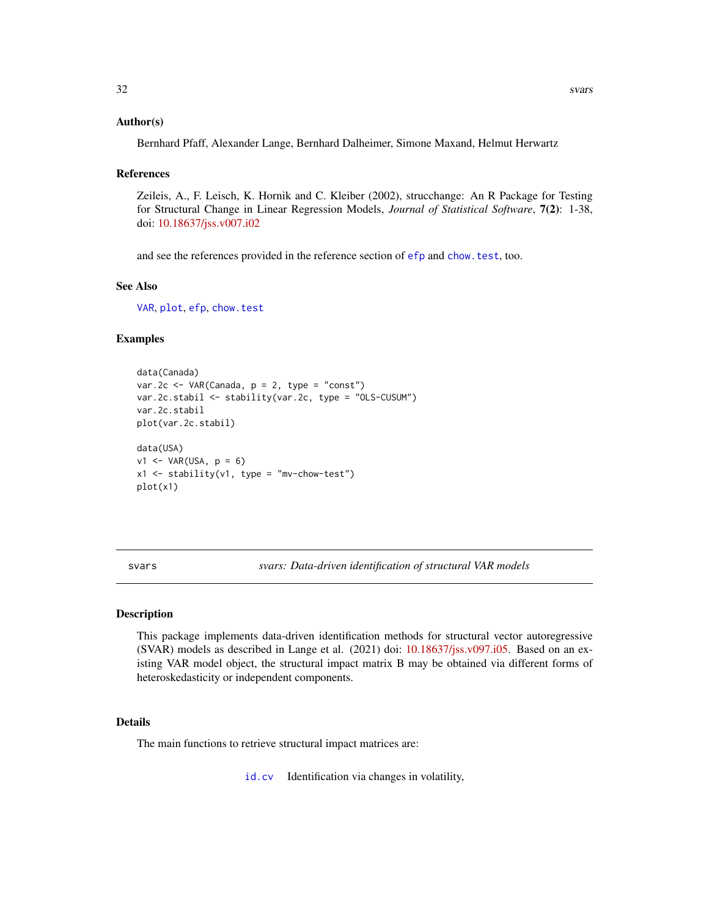#### <span id="page-31-0"></span>Author(s)

Bernhard Pfaff, Alexander Lange, Bernhard Dalheimer, Simone Maxand, Helmut Herwartz

#### References

Zeileis, A., F. Leisch, K. Hornik and C. Kleiber (2002), strucchange: An R Package for Testing for Structural Change in Linear Regression Models, *Journal of Statistical Software*, 7(2): 1-38, doi: [10.18637/jss.v007.i02](https://doi.org/10.18637/jss.v007.i02)

and see the references provided in the reference section of [efp](#page-0-0) and chow. test, too.

#### See Also

[VAR](#page-0-0), [plot](#page-0-0), [efp](#page-0-0), [chow.test](#page-4-1)

#### Examples

```
data(Canada)
var.2c <- VAR(Canada, p = 2, type = "const")
var.2c.stabil <- stability(var.2c, type = "OLS-CUSUM")
var.2c.stabil
plot(var.2c.stabil)
data(USA)
v1 <- VAR(USA, p = 6)
x1 \le - stability(v1, type = "mv-chow-test")
plot(x1)
```
svars *svars: Data-driven identification of structural VAR models*

#### Description

This package implements data-driven identification methods for structural vector autoregressive (SVAR) models as described in Lange et al. (2021) doi: [10.18637/jss.v097.i05.](https://doi.org/10.18637/jss.v097.i05) Based on an existing VAR model object, the structural impact matrix B may be obtained via different forms of heteroskedasticity or independent components.

#### Details

The main functions to retrieve structural impact matrices are:

[id.cv](#page-9-1) Identification via changes in volatility,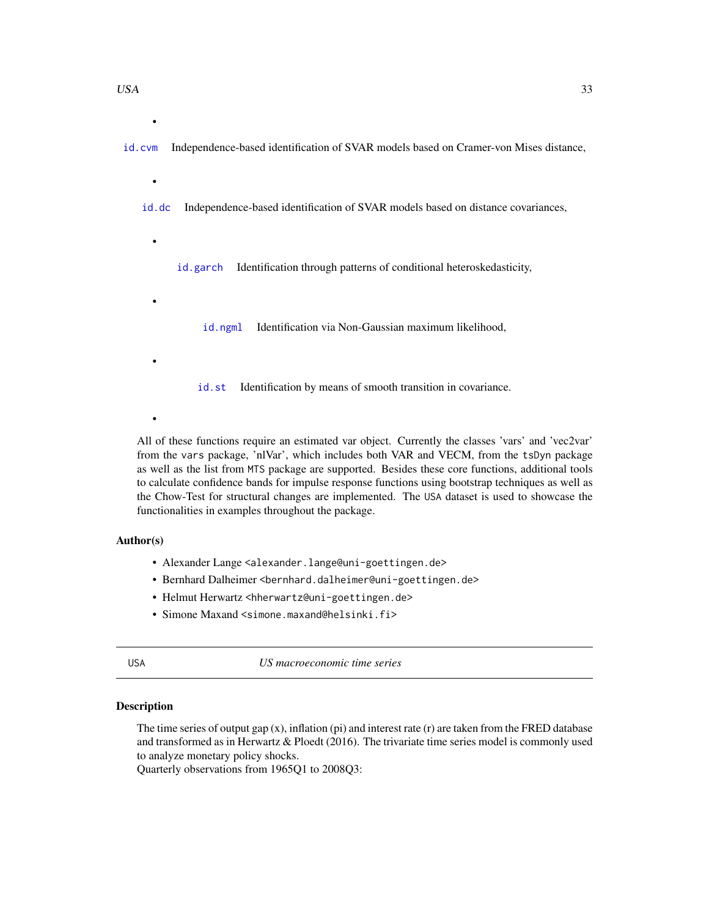<span id="page-32-0"></span>•

•

•

•

•

•

[id.cvm](#page-13-1) Independence-based identification of SVAR models based on Cramer-von Mises distance,

[id.dc](#page-15-1) Independence-based identification of SVAR models based on distance covariances,

[id.garch](#page-16-1) Identification through patterns of conditional heteroskedasticity,

[id.ngml](#page-19-1) Identification via Non-Gaussian maximum likelihood,

[id.st](#page-21-1) Identification by means of smooth transition in covariance.

All of these functions require an estimated var object. Currently the classes 'vars' and 'vec2var' from the vars package, 'nlVar', which includes both VAR and VECM, from the tsDyn package as well as the list from MTS package are supported. Besides these core functions, additional tools to calculate confidence bands for impulse response functions using bootstrap techniques as well as the Chow-Test for structural changes are implemented. The USA dataset is used to showcase the functionalities in examples throughout the package.

# Author(s)

- Alexander Lange <alexander.lange@uni-goettingen.de>
- Bernhard Dalheimer <bernhard.dalheimer@uni-goettingen.de>
- Helmut Herwartz <hherwartz@uni-goettingen.de>
- Simone Maxand < simone.maxand@helsinki.fi>

USA *US macroeconomic time series*

#### Description

The time series of output gap  $(x)$ , inflation  $pi$  indicates rate  $(r)$  are taken from the FRED database and transformed as in Herwartz & Ploedt (2016). The trivariate time series model is commonly used to analyze monetary policy shocks.

Quarterly observations from 1965Q1 to 2008Q3: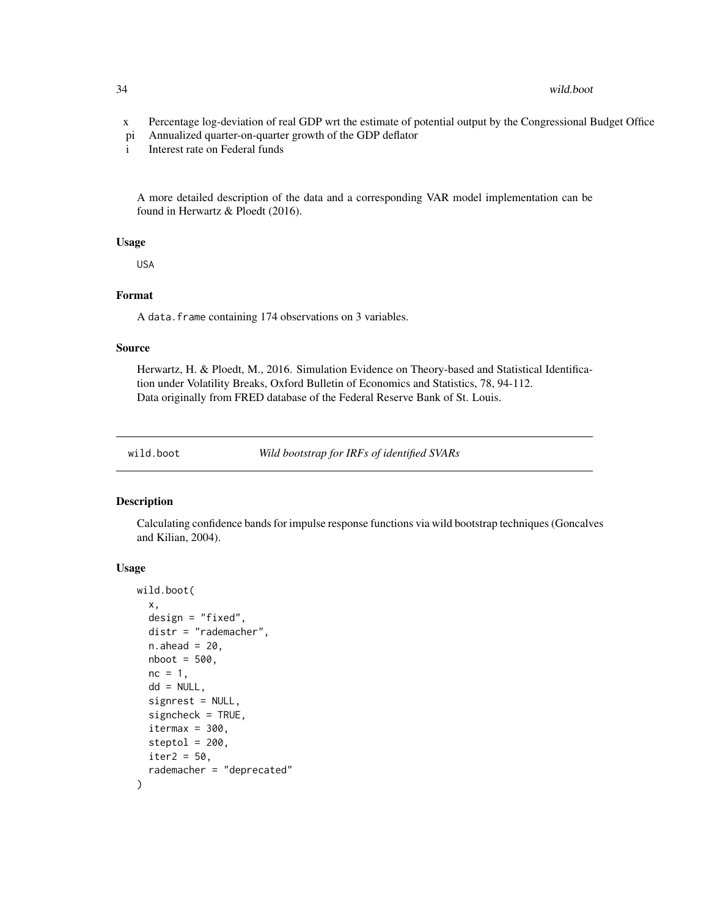#### 34 wild.boot

- x Percentage log-deviation of real GDP wrt the estimate of potential output by the Congressional Budget Office
- pi Annualized quarter-on-quarter growth of the GDP deflator
- i Interest rate on Federal funds

A more detailed description of the data and a corresponding VAR model implementation can be found in Herwartz & Ploedt (2016).

# Usage

USA

# Format

A data.frame containing 174 observations on 3 variables.

#### Source

Herwartz, H. & Ploedt, M., 2016. Simulation Evidence on Theory-based and Statistical Identification under Volatility Breaks, Oxford Bulletin of Economics and Statistics, 78, 94-112. Data originally from FRED database of the Federal Reserve Bank of St. Louis.

<span id="page-33-1"></span>wild.boot *Wild bootstrap for IRFs of identified SVARs*

#### Description

Calculating confidence bands for impulse response functions via wild bootstrap techniques (Goncalves and Kilian, 2004).

#### Usage

```
wild.boot(
  x,
  design = "fixed",
  distr = "rademacher",
  n.ahead = 20,
  nboot = 500,
  nc = 1,
  dd = NULL,signrest = NULL,
  signcheck = TRUE,
  itermax = 300,steptol = 200,iter2 = 50,
  rademacher = "deprecated"
)
```
<span id="page-33-0"></span>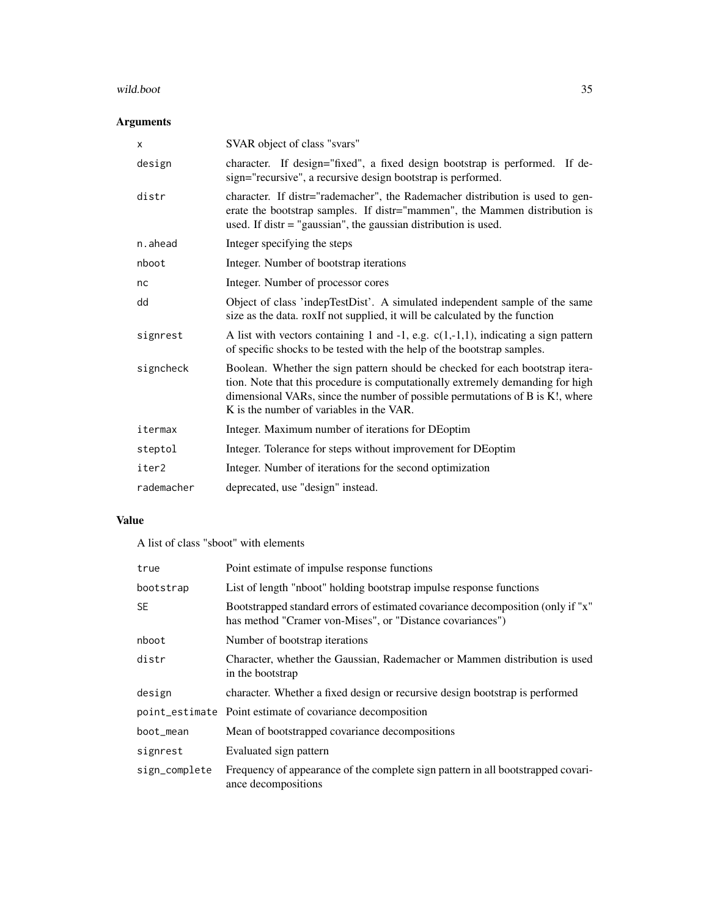#### wild.boot 35

# Arguments

| X          | SVAR object of class "svars"                                                                                                                                                                                                                                                                 |
|------------|----------------------------------------------------------------------------------------------------------------------------------------------------------------------------------------------------------------------------------------------------------------------------------------------|
| design     | character. If design="fixed", a fixed design bootstrap is performed. If de-<br>sign="recursive", a recursive design bootstrap is performed.                                                                                                                                                  |
| distr      | character. If distr="rademacher", the Rademacher distribution is used to gen-<br>erate the bootstrap samples. If distr="mammen", the Mammen distribution is<br>used. If $dist = "gaussian",$ the gaussian distribution is used.                                                              |
| n.ahead    | Integer specifying the steps                                                                                                                                                                                                                                                                 |
| nboot      | Integer. Number of bootstrap iterations                                                                                                                                                                                                                                                      |
| nc         | Integer. Number of processor cores                                                                                                                                                                                                                                                           |
| dd         | Object of class 'indepTestDist'. A simulated independent sample of the same<br>size as the data. roxIf not supplied, it will be calculated by the function                                                                                                                                   |
| signrest   | A list with vectors containing 1 and -1, e.g. $c(1,-1,1)$ , indicating a sign pattern<br>of specific shocks to be tested with the help of the bootstrap samples.                                                                                                                             |
| signcheck  | Boolean. Whether the sign pattern should be checked for each bootstrap itera-<br>tion. Note that this procedure is computationally extremely demanding for high<br>dimensional VARs, since the number of possible permutations of B is K!, where<br>K is the number of variables in the VAR. |
| itermax    | Integer. Maximum number of iterations for DEoptim                                                                                                                                                                                                                                            |
| steptol    | Integer. Tolerance for steps without improvement for DEoptim                                                                                                                                                                                                                                 |
| iter2      | Integer. Number of iterations for the second optimization                                                                                                                                                                                                                                    |
| rademacher | deprecated, use "design" instead.                                                                                                                                                                                                                                                            |

# Value

A list of class "sboot" with elements

| true          | Point estimate of impulse response functions                                                                                                 |
|---------------|----------------------------------------------------------------------------------------------------------------------------------------------|
| bootstrap     | List of length "nboot" holding bootstrap impulse response functions                                                                          |
| <b>SE</b>     | Bootstrapped standard errors of estimated covariance decomposition (only if "x"<br>has method "Cramer von-Mises", or "Distance covariances") |
| nboot         | Number of bootstrap iterations                                                                                                               |
| distr         | Character, whether the Gaussian, Rademacher or Mammen distribution is used<br>in the bootstrap                                               |
| design        | character. Whether a fixed design or recursive design bootstrap is performed                                                                 |
|               | point_estimate Point estimate of covariance decomposition                                                                                    |
| boot_mean     | Mean of bootstrapped covariance decompositions                                                                                               |
| signrest      | Evaluated sign pattern                                                                                                                       |
| sign_complete | Frequency of appearance of the complete sign pattern in all bootstrapped covari-<br>ance decompositions                                      |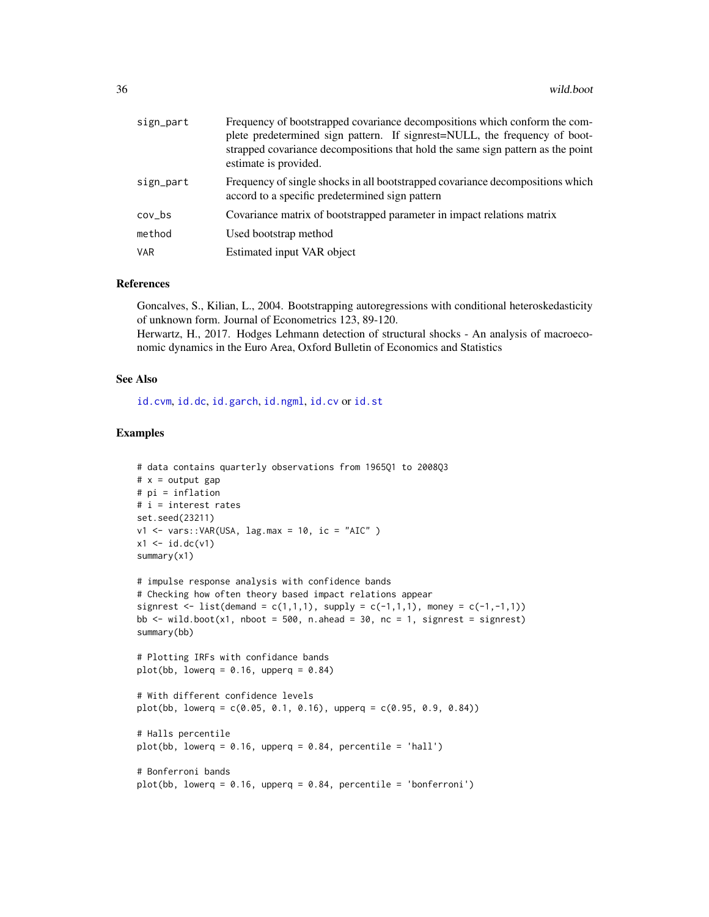<span id="page-35-0"></span>

| sign_part  | Frequency of bootstrapped covariance decompositions which conform the com-<br>plete predetermined sign pattern. If signrest=NULL, the frequency of boot-<br>strapped covariance decompositions that hold the same sign pattern as the point<br>estimate is provided. |
|------------|----------------------------------------------------------------------------------------------------------------------------------------------------------------------------------------------------------------------------------------------------------------------|
| sign_part  | Frequency of single shocks in all bootstrapped covariance decompositions which<br>accord to a specific predetermined sign pattern                                                                                                                                    |
| cov_bs     | Covariance matrix of bootstrapped parameter in impact relations matrix                                                                                                                                                                                               |
| method     | Used bootstrap method                                                                                                                                                                                                                                                |
| <b>VAR</b> | Estimated input VAR object                                                                                                                                                                                                                                           |

#### References

Goncalves, S., Kilian, L., 2004. Bootstrapping autoregressions with conditional heteroskedasticity of unknown form. Journal of Econometrics 123, 89-120. Herwartz, H., 2017. Hodges Lehmann detection of structural shocks - An analysis of macroeconomic dynamics in the Euro Area, Oxford Bulletin of Economics and Statistics

#### See Also

[id.cvm](#page-13-1), [id.dc](#page-15-1), [id.garch](#page-16-1), [id.ngml](#page-19-1), [id.cv](#page-9-1) or [id.st](#page-21-1)

#### Examples

```
# data contains quarterly observations from 1965Q1 to 2008Q3
# x = output gap# pi = inflation
# i = interest rates
set.seed(23211)
v1 \le - vars:: VAR(USA, lag.max = 10, ic = "AIC")
x1 \leftarrow id.dc(v1)summary(x1)
# impulse response analysis with confidence bands
# Checking how often theory based impact relations appear
signrest <- list(demand = c(1,1,1), supply = c(-1,1,1), money = c(-1,-1,1))
bb \le wild.boot(x1, nboot = 500, n.ahead = 30, nc = 1, signrest = signrest)
summary(bb)
# Plotting IRFs with confidance bands
plot(bb, lowerq = 0.16, upperq = 0.84)
# With different confidence levels
plot(bb, lowerq = c(0.05, 0.1, 0.16), upperq = c(0.95, 0.9, 0.84))# Halls percentile
plot(bb, lowerq = 0.16, upperq = 0.84, percentile = 'hall')# Bonferroni bands
plot(bb, lowerq = 0.16, upperq = 0.84, percentile = 'bonferroni')
```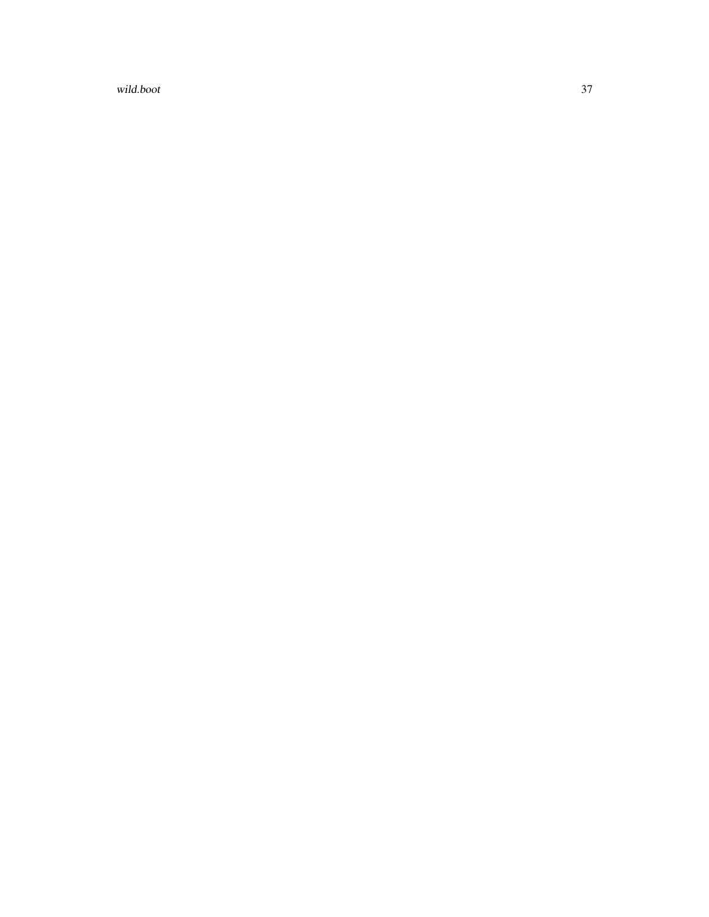wild.boot 37